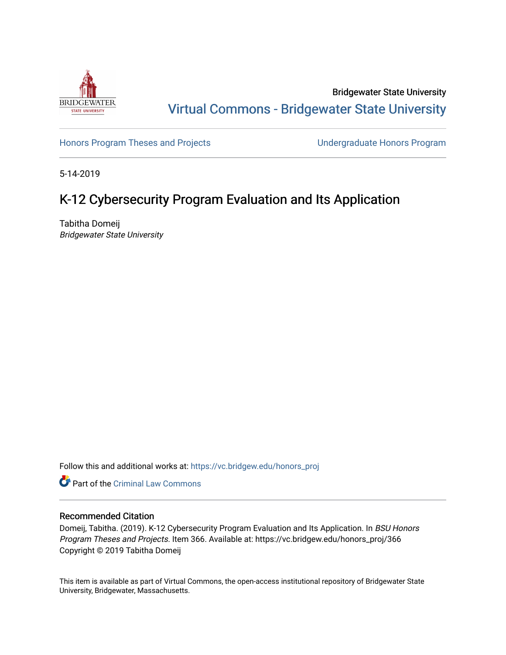

Bridgewater State University [Virtual Commons - Bridgewater State University](https://vc.bridgew.edu/) 

[Honors Program Theses and Projects](https://vc.bridgew.edu/honors_proj) [Undergraduate Honors Program](https://vc.bridgew.edu/honors) 

5-14-2019

# K-12 Cybersecurity Program Evaluation and Its Application

Tabitha Domeij Bridgewater State University

Follow this and additional works at: [https://vc.bridgew.edu/honors\\_proj](https://vc.bridgew.edu/honors_proj?utm_source=vc.bridgew.edu%2Fhonors_proj%2F366&utm_medium=PDF&utm_campaign=PDFCoverPages)

**C** Part of the Criminal Law Commons

### Recommended Citation

Domeij, Tabitha. (2019). K-12 Cybersecurity Program Evaluation and Its Application. In BSU Honors Program Theses and Projects. Item 366. Available at: https://vc.bridgew.edu/honors\_proj/366 Copyright © 2019 Tabitha Domeij

This item is available as part of Virtual Commons, the open-access institutional repository of Bridgewater State University, Bridgewater, Massachusetts.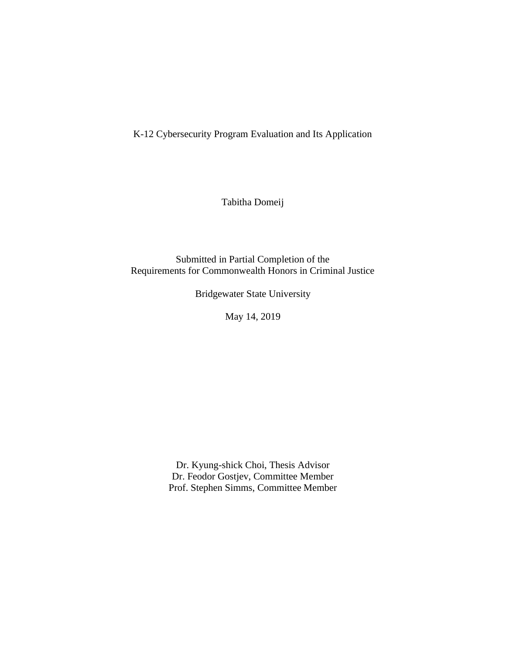K-12 Cybersecurity Program Evaluation and Its Application

Tabitha Domeij

Submitted in Partial Completion of the Requirements for Commonwealth Honors in Criminal Justice

Bridgewater State University

May 14, 2019

Dr. Kyung-shick Choi, Thesis Advisor Dr. Feodor Gostjev, Committee Member Prof. Stephen Simms, Committee Member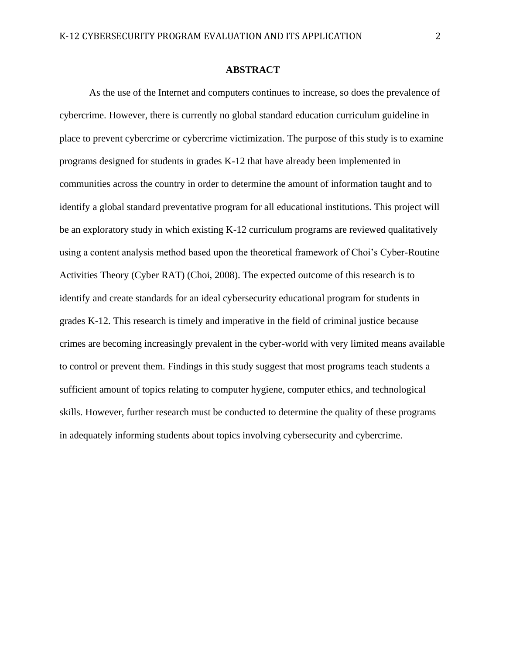### **ABSTRACT**

As the use of the Internet and computers continues to increase, so does the prevalence of cybercrime. However, there is currently no global standard education curriculum guideline in place to prevent cybercrime or cybercrime victimization. The purpose of this study is to examine programs designed for students in grades K-12 that have already been implemented in communities across the country in order to determine the amount of information taught and to identify a global standard preventative program for all educational institutions. This project will be an exploratory study in which existing K-12 curriculum programs are reviewed qualitatively using a content analysis method based upon the theoretical framework of Choi's Cyber-Routine Activities Theory (Cyber RAT) (Choi, 2008). The expected outcome of this research is to identify and create standards for an ideal cybersecurity educational program for students in grades K-12. This research is timely and imperative in the field of criminal justice because crimes are becoming increasingly prevalent in the cyber-world with very limited means available to control or prevent them. Findings in this study suggest that most programs teach students a sufficient amount of topics relating to computer hygiene, computer ethics, and technological skills. However, further research must be conducted to determine the quality of these programs in adequately informing students about topics involving cybersecurity and cybercrime.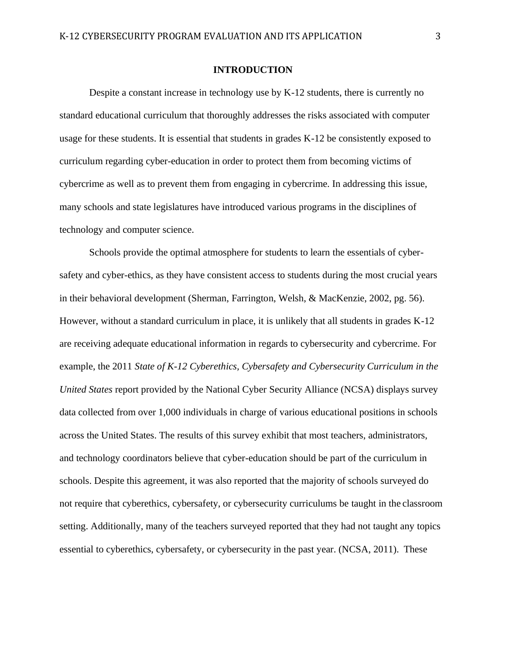### **INTRODUCTION**

Despite a constant increase in technology use by K-12 students, there is currently no standard educational curriculum that thoroughly addresses the risks associated with computer usage for these students. It is essential that students in grades K-12 be consistently exposed to curriculum regarding cyber-education in order to protect them from becoming victims of cybercrime as well as to prevent them from engaging in cybercrime. In addressing this issue, many schools and state legislatures have introduced various programs in the disciplines of technology and computer science.

Schools provide the optimal atmosphere for students to learn the essentials of cybersafety and cyber-ethics, as they have consistent access to students during the most crucial years in their behavioral development (Sherman, Farrington, Welsh, & MacKenzie, 2002, pg. 56). However, without a standard curriculum in place, it is unlikely that all students in grades K-12 are receiving adequate educational information in regards to cybersecurity and cybercrime. For example, the 2011 *State of K-12 Cyberethics, Cybersafety and Cybersecurity Curriculum in the United States* report provided by the National Cyber Security Alliance (NCSA) displays survey data collected from over 1,000 individuals in charge of various educational positions in schools across the United States. The results of this survey exhibit that most teachers, administrators, and technology coordinators believe that cyber-education should be part of the curriculum in schools. Despite this agreement, it was also reported that the majority of schools surveyed do not require that cyberethics, cybersafety, or cybersecurity curriculums be taught in the classroom setting. Additionally, many of the teachers surveyed reported that they had not taught any topics essential to cyberethics, cybersafety, or cybersecurity in the past year. (NCSA, 2011). These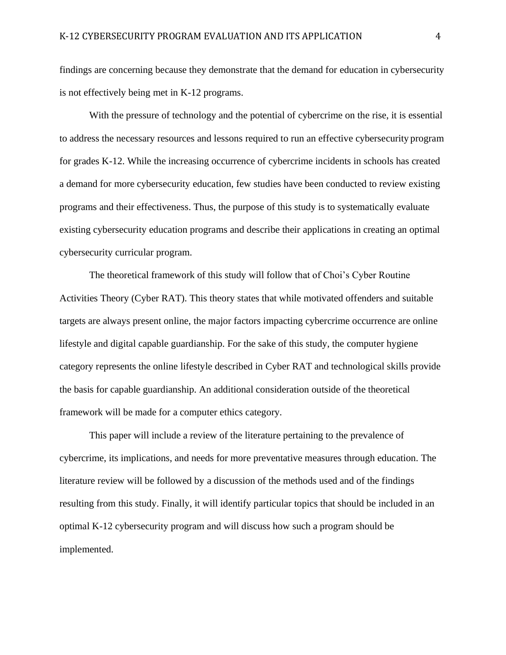findings are concerning because they demonstrate that the demand for education in cybersecurity is not effectively being met in K-12 programs.

With the pressure of technology and the potential of cybercrime on the rise, it is essential to address the necessary resources and lessons required to run an effective cybersecurity program for grades K-12. While the increasing occurrence of cybercrime incidents in schools has created a demand for more cybersecurity education, few studies have been conducted to review existing programs and their effectiveness. Thus, the purpose of this study is to systematically evaluate existing cybersecurity education programs and describe their applications in creating an optimal cybersecurity curricular program.

The theoretical framework of this study will follow that of Choi's Cyber Routine Activities Theory (Cyber RAT). This theory states that while motivated offenders and suitable targets are always present online, the major factors impacting cybercrime occurrence are online lifestyle and digital capable guardianship. For the sake of this study, the computer hygiene category represents the online lifestyle described in Cyber RAT and technological skills provide the basis for capable guardianship. An additional consideration outside of the theoretical framework will be made for a computer ethics category.

This paper will include a review of the literature pertaining to the prevalence of cybercrime, its implications, and needs for more preventative measures through education. The literature review will be followed by a discussion of the methods used and of the findings resulting from this study. Finally, it will identify particular topics that should be included in an optimal K-12 cybersecurity program and will discuss how such a program should be implemented.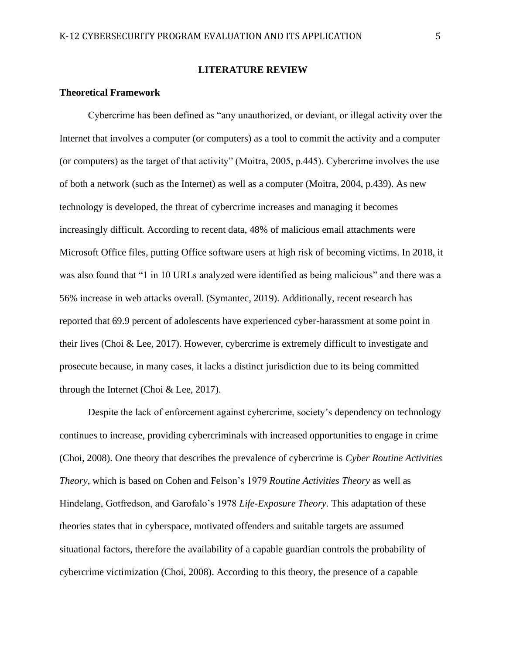### **LITERATURE REVIEW**

### **Theoretical Framework**

Cybercrime has been defined as "any unauthorized, or deviant, or illegal activity over the Internet that involves a computer (or computers) as a tool to commit the activity and a computer (or computers) as the target of that activity" (Moitra, 2005, p.445). Cybercrime involves the use of both a network (such as the Internet) as well as a computer (Moitra, 2004, p.439). As new technology is developed, the threat of cybercrime increases and managing it becomes increasingly difficult. According to recent data, 48% of malicious email attachments were Microsoft Office files, putting Office software users at high risk of becoming victims. In 2018, it was also found that "1 in 10 URLs analyzed were identified as being malicious" and there was a 56% increase in web attacks overall. (Symantec, 2019). Additionally, recent research has reported that 69.9 percent of adolescents have experienced cyber-harassment at some point in their lives (Choi & Lee, 2017). However, cybercrime is extremely difficult to investigate and prosecute because, in many cases, it lacks a distinct jurisdiction due to its being committed through the Internet (Choi & Lee, 2017).

Despite the lack of enforcement against cybercrime, society's dependency on technology continues to increase, providing cybercriminals with increased opportunities to engage in crime (Choi, 2008). One theory that describes the prevalence of cybercrime is *Cyber Routine Activities Theory*, which is based on Cohen and Felson's 1979 *Routine Activities Theory* as well as Hindelang, Gotfredson, and Garofalo's 1978 *Life-Exposure Theory*. This adaptation of these theories states that in cyberspace, motivated offenders and suitable targets are assumed situational factors, therefore the availability of a capable guardian controls the probability of cybercrime victimization (Choi, 2008). According to this theory, the presence of a capable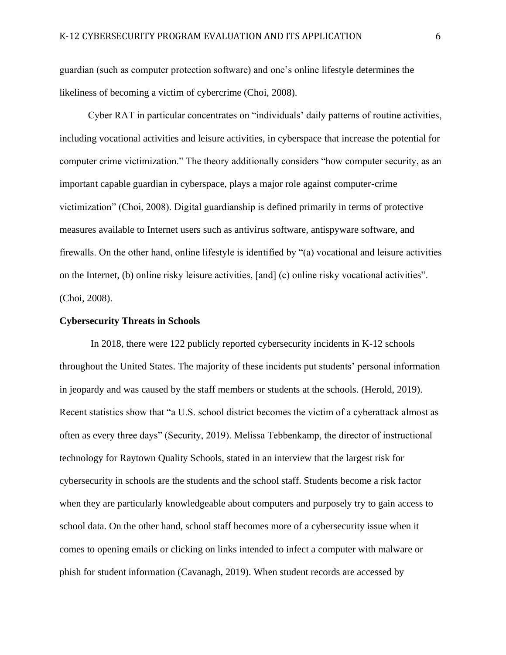guardian (such as computer protection software) and one's online lifestyle determines the likeliness of becoming a victim of cybercrime (Choi, 2008).

Cyber RAT in particular concentrates on "individuals' daily patterns of routine activities, including vocational activities and leisure activities, in cyberspace that increase the potential for computer crime victimization." The theory additionally considers "how computer security, as an important capable guardian in cyberspace, plays a major role against computer-crime victimization" (Choi, 2008). Digital guardianship is defined primarily in terms of protective measures available to Internet users such as antivirus software, antispyware software, and firewalls. On the other hand, online lifestyle is identified by "(a) vocational and leisure activities on the Internet, (b) online risky leisure activities, [and] (c) online risky vocational activities". (Choi, 2008).

#### **Cybersecurity Threats in Schools**

In 2018, there were 122 publicly reported cybersecurity incidents in K-12 schools throughout the United States. The majority of these incidents put students' personal information in jeopardy and was caused by the staff members or students at the schools. (Herold, 2019). Recent statistics show that "a U.S. school district becomes the victim of a cyberattack almost as often as every three days" (Security, 2019). Melissa Tebbenkamp, the director of instructional technology for Raytown Quality Schools, stated in an interview that the largest risk for cybersecurity in schools are the students and the school staff. Students become a risk factor when they are particularly knowledgeable about computers and purposely try to gain access to school data. On the other hand, school staff becomes more of a cybersecurity issue when it comes to opening emails or clicking on links intended to infect a computer with malware or phish for student information (Cavanagh, 2019). When student records are accessed by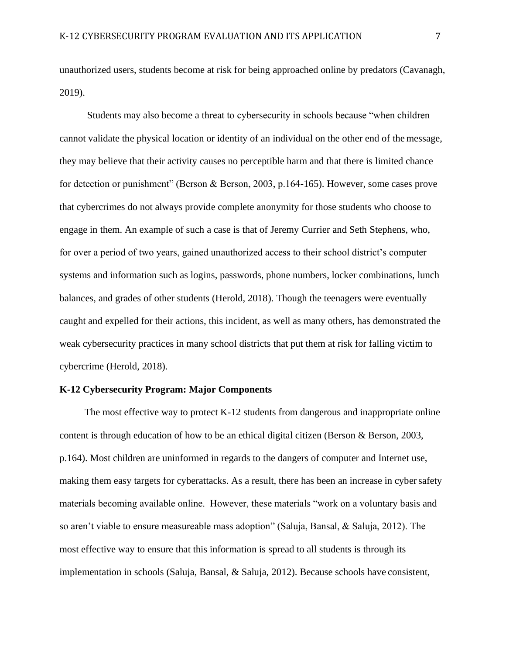unauthorized users, students become at risk for being approached online by predators (Cavanagh, 2019).

Students may also become a threat to cybersecurity in schools because "when children cannot validate the physical location or identity of an individual on the other end of the message, they may believe that their activity causes no perceptible harm and that there is limited chance for detection or punishment" (Berson & Berson, 2003, p.164-165). However, some cases prove that cybercrimes do not always provide complete anonymity for those students who choose to engage in them. An example of such a case is that of Jeremy Currier and Seth Stephens, who, for over a period of two years, gained unauthorized access to their school district's computer systems and information such as logins, passwords, phone numbers, locker combinations, lunch balances, and grades of other students (Herold, 2018). Though the teenagers were eventually caught and expelled for their actions, this incident, as well as many others, has demonstrated the weak cybersecurity practices in many school districts that put them at risk for falling victim to cybercrime (Herold, 2018).

### **K-12 Cybersecurity Program: Major Components**

The most effective way to protect K-12 students from dangerous and inappropriate online content is through education of how to be an ethical digital citizen (Berson & Berson, 2003, p.164). Most children are uninformed in regards to the dangers of computer and Internet use, making them easy targets for cyberattacks. As a result, there has been an increase in cybersafety materials becoming available online. However, these materials "work on a voluntary basis and so aren't viable to ensure measureable mass adoption" (Saluja, Bansal, & Saluja, 2012). The most effective way to ensure that this information is spread to all students is through its implementation in schools (Saluja, Bansal, & Saluja, 2012). Because schools have consistent,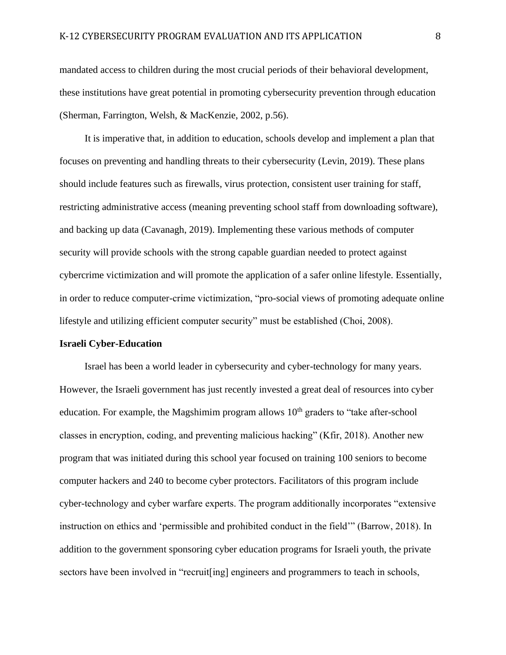mandated access to children during the most crucial periods of their behavioral development, these institutions have great potential in promoting cybersecurity prevention through education (Sherman, Farrington, Welsh, & MacKenzie, 2002, p.56).

It is imperative that, in addition to education, schools develop and implement a plan that focuses on preventing and handling threats to their cybersecurity (Levin, 2019). These plans should include features such as firewalls, virus protection, consistent user training for staff, restricting administrative access (meaning preventing school staff from downloading software), and backing up data (Cavanagh, 2019). Implementing these various methods of computer security will provide schools with the strong capable guardian needed to protect against cybercrime victimization and will promote the application of a safer online lifestyle. Essentially, in order to reduce computer-crime victimization, "pro-social views of promoting adequate online lifestyle and utilizing efficient computer security" must be established (Choi, 2008).

#### **Israeli Cyber-Education**

Israel has been a world leader in cybersecurity and cyber-technology for many years. However, the Israeli government has just recently invested a great deal of resources into cyber education. For example, the Magshimim program allows  $10<sup>th</sup>$  graders to "take after-school classes in encryption, coding, and preventing malicious hacking" (Kfir, 2018). Another new program that was initiated during this school year focused on training 100 seniors to become computer hackers and 240 to become cyber protectors. Facilitators of this program include cyber-technology and cyber warfare experts. The program additionally incorporates "extensive instruction on ethics and 'permissible and prohibited conduct in the field'" (Barrow, 2018). In addition to the government sponsoring cyber education programs for Israeli youth, the private sectors have been involved in "recruit [ing] engineers and programmers to teach in schools,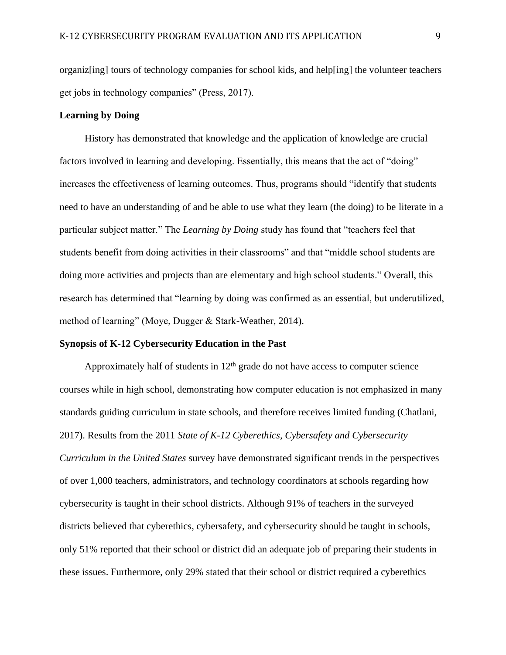organiz[ing] tours of technology companies for school kids, and help[ing] the volunteer teachers get jobs in technology companies" (Press, 2017).

### **Learning by Doing**

History has demonstrated that knowledge and the application of knowledge are crucial factors involved in learning and developing. Essentially, this means that the act of "doing" increases the effectiveness of learning outcomes. Thus, programs should "identify that students need to have an understanding of and be able to use what they learn (the doing) to be literate in a particular subject matter." The *Learning by Doing* study has found that "teachers feel that students benefit from doing activities in their classrooms" and that "middle school students are doing more activities and projects than are elementary and high school students." Overall, this research has determined that "learning by doing was confirmed as an essential, but underutilized, method of learning" (Moye, Dugger & Stark-Weather, 2014).

#### **Synopsis of K-12 Cybersecurity Education in the Past**

Approximately half of students in  $12<sup>th</sup>$  grade do not have access to computer science courses while in high school, demonstrating how computer education is not emphasized in many standards guiding curriculum in state schools, and therefore receives limited funding (Chatlani, 2017). Results from the 2011 *State of K-12 Cyberethics, Cybersafety and Cybersecurity Curriculum in the United States* survey have demonstrated significant trends in the perspectives of over 1,000 teachers, administrators, and technology coordinators at schools regarding how cybersecurity is taught in their school districts. Although 91% of teachers in the surveyed districts believed that cyberethics, cybersafety, and cybersecurity should be taught in schools, only 51% reported that their school or district did an adequate job of preparing their students in these issues. Furthermore, only 29% stated that their school or district required a cyberethics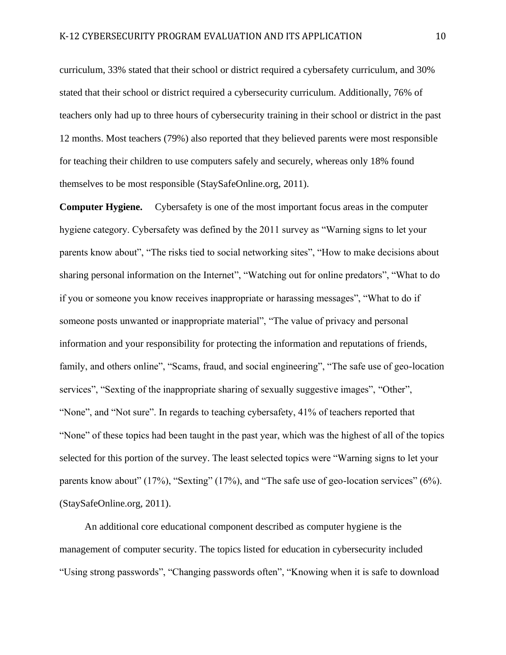curriculum, 33% stated that their school or district required a cybersafety curriculum, and 30% stated that their school or district required a cybersecurity curriculum. Additionally, 76% of teachers only had up to three hours of cybersecurity training in their school or district in the past 12 months. Most teachers (79%) also reported that they believed parents were most responsible for teaching their children to use computers safely and securely, whereas only 18% found themselves to be most responsible (StaySafeOnline.org, 2011).

**Computer Hygiene.** Cybersafety is one of the most important focus areas in the computer hygiene category. Cybersafety was defined by the 2011 survey as "Warning signs to let your parents know about", "The risks tied to social networking sites", "How to make decisions about sharing personal information on the Internet", "Watching out for online predators", "What to do if you or someone you know receives inappropriate or harassing messages", "What to do if someone posts unwanted or inappropriate material", "The value of privacy and personal information and your responsibility for protecting the information and reputations of friends, family, and others online", "Scams, fraud, and social engineering", "The safe use of geo-location services", "Sexting of the inappropriate sharing of sexually suggestive images", "Other", "None", and "Not sure". In regards to teaching cybersafety, 41% of teachers reported that "None" of these topics had been taught in the past year, which was the highest of all of the topics selected for this portion of the survey. The least selected topics were "Warning signs to let your parents know about" (17%), "Sexting" (17%), and "The safe use of geo-location services" (6%). (StaySafeOnline.org, 2011).

An additional core educational component described as computer hygiene is the management of computer security. The topics listed for education in cybersecurity included "Using strong passwords", "Changing passwords often", "Knowing when it is safe to download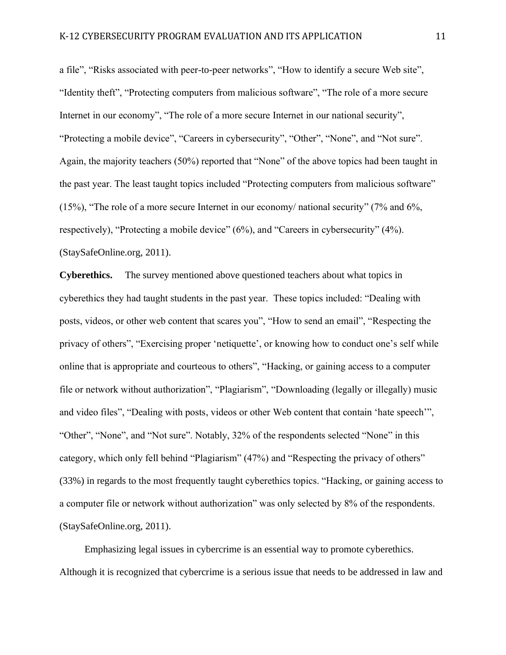a file", "Risks associated with peer-to-peer networks", "How to identify a secure Web site", "Identity theft", "Protecting computers from malicious software", "The role of a more secure Internet in our economy", "The role of a more secure Internet in our national security", "Protecting a mobile device", "Careers in cybersecurity", "Other", "None", and "Not sure". Again, the majority teachers (50%) reported that "None" of the above topics had been taught in the past year. The least taught topics included "Protecting computers from malicious software" (15%), "The role of a more secure Internet in our economy/ national security" (7% and 6%, respectively), "Protecting a mobile device" (6%), and "Careers in cybersecurity" (4%). (StaySafeOnline.org, 2011).

**Cyberethics.** The survey mentioned above questioned teachers about what topics in cyberethics they had taught students in the past year. These topics included: "Dealing with posts, videos, or other web content that scares you", "How to send an email", "Respecting the privacy of others", "Exercising proper 'netiquette', or knowing how to conduct one's self while online that is appropriate and courteous to others", "Hacking, or gaining access to a computer file or network without authorization", "Plagiarism", "Downloading (legally or illegally) music and video files", "Dealing with posts, videos or other Web content that contain 'hate speech'", "Other", "None", and "Not sure". Notably, 32% of the respondents selected "None" in this category, which only fell behind "Plagiarism" (47%) and "Respecting the privacy of others" (33%) in regards to the most frequently taught cyberethics topics. "Hacking, or gaining access to a computer file or network without authorization" was only selected by 8% of the respondents. (StaySafeOnline.org, 2011).

Emphasizing legal issues in cybercrime is an essential way to promote cyberethics. Although it is recognized that cybercrime is a serious issue that needs to be addressed in law and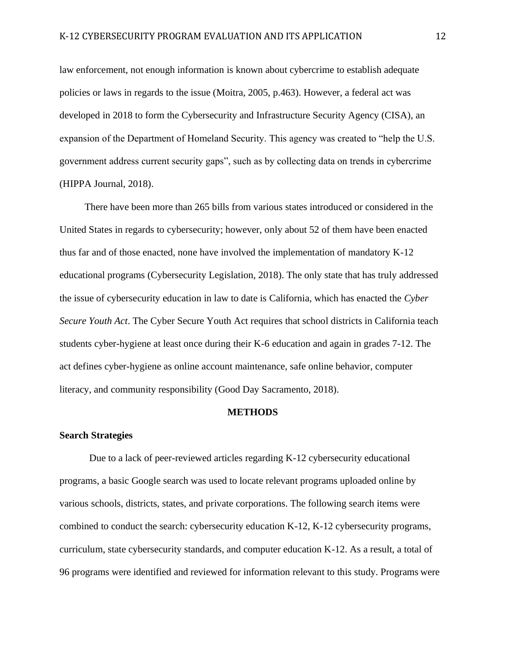law enforcement, not enough information is known about cybercrime to establish adequate policies or laws in regards to the issue (Moitra, 2005, p.463). However, a federal act was developed in 2018 to form the Cybersecurity and Infrastructure Security Agency (CISA), an expansion of the Department of Homeland Security. This agency was created to "help the U.S. government address current security gaps", such as by collecting data on trends in cybercrime (HIPPA Journal, 2018).

There have been more than 265 bills from various states introduced or considered in the United States in regards to cybersecurity; however, only about 52 of them have been enacted thus far and of those enacted, none have involved the implementation of mandatory K-12 educational programs (Cybersecurity Legislation, 2018). The only state that has truly addressed the issue of cybersecurity education in law to date is California, which has enacted the *Cyber Secure Youth Act*. The Cyber Secure Youth Act requires that school districts in California teach students cyber-hygiene at least once during their K-6 education and again in grades 7-12. The act defines cyber-hygiene as online account maintenance, safe online behavior, computer literacy, and community responsibility (Good Day Sacramento, 2018).

#### **METHODS**

#### **Search Strategies**

Due to a lack of peer-reviewed articles regarding K-12 cybersecurity educational programs, a basic Google search was used to locate relevant programs uploaded online by various schools, districts, states, and private corporations. The following search items were combined to conduct the search: cybersecurity education K-12, K-12 cybersecurity programs, curriculum, state cybersecurity standards, and computer education K-12. As a result, a total of 96 programs were identified and reviewed for information relevant to this study. Programs were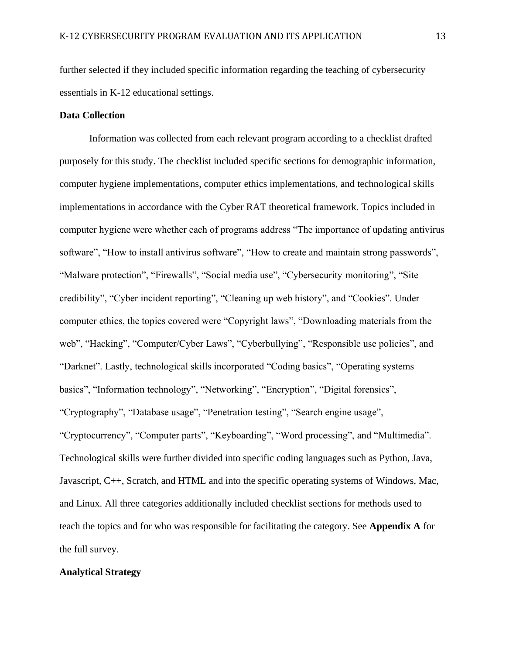further selected if they included specific information regarding the teaching of cybersecurity essentials in K-12 educational settings.

## **Data Collection**

Information was collected from each relevant program according to a checklist drafted purposely for this study. The checklist included specific sections for demographic information, computer hygiene implementations, computer ethics implementations, and technological skills implementations in accordance with the Cyber RAT theoretical framework. Topics included in computer hygiene were whether each of programs address "The importance of updating antivirus software", "How to install antivirus software", "How to create and maintain strong passwords", "Malware protection", "Firewalls", "Social media use", "Cybersecurity monitoring", "Site credibility", "Cyber incident reporting", "Cleaning up web history", and "Cookies". Under computer ethics, the topics covered were "Copyright laws", "Downloading materials from the web", "Hacking", "Computer/Cyber Laws", "Cyberbullying", "Responsible use policies", and "Darknet". Lastly, technological skills incorporated "Coding basics", "Operating systems basics", "Information technology", "Networking", "Encryption", "Digital forensics", "Cryptography", "Database usage", "Penetration testing", "Search engine usage", "Cryptocurrency", "Computer parts", "Keyboarding", "Word processing", and "Multimedia". Technological skills were further divided into specific coding languages such as Python, Java, Javascript, C++, Scratch, and HTML and into the specific operating systems of Windows, Mac, and Linux. All three categories additionally included checklist sections for methods used to teach the topics and for who was responsible for facilitating the category. See **Appendix A** for the full survey.

#### **Analytical Strategy**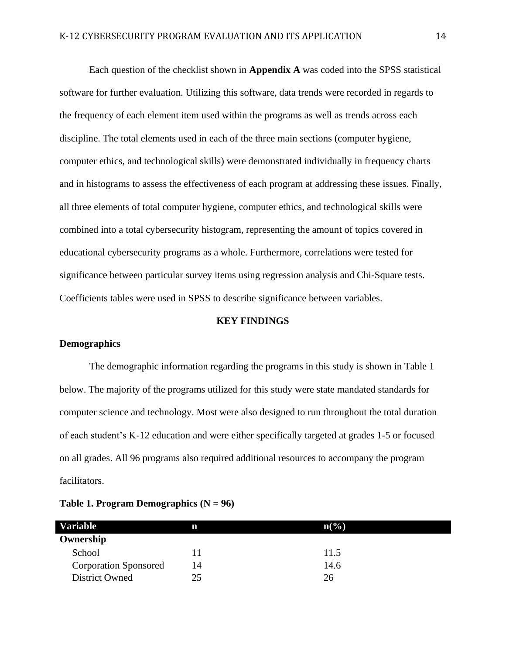Each question of the checklist shown in **Appendix A** was coded into the SPSS statistical software for further evaluation. Utilizing this software, data trends were recorded in regards to the frequency of each element item used within the programs as well as trends across each discipline. The total elements used in each of the three main sections (computer hygiene, computer ethics, and technological skills) were demonstrated individually in frequency charts and in histograms to assess the effectiveness of each program at addressing these issues. Finally, all three elements of total computer hygiene, computer ethics, and technological skills were combined into a total cybersecurity histogram, representing the amount of topics covered in educational cybersecurity programs as a whole. Furthermore, correlations were tested for significance between particular survey items using regression analysis and Chi-Square tests. Coefficients tables were used in SPSS to describe significance between variables.

#### **KEY FINDINGS**

### **Demographics**

The demographic information regarding the programs in this study is shown in Table 1 below. The majority of the programs utilized for this study were state mandated standards for computer science and technology. Most were also designed to run throughout the total duration of each student's K-12 education and were either specifically targeted at grades 1-5 or focused on all grades. All 96 programs also required additional resources to accompany the program facilitators.

| <b>Variable</b>              | n  | $n\left(\frac{0}{0}\right)$ |
|------------------------------|----|-----------------------------|
| Ownership                    |    |                             |
| School                       |    | 11.5                        |
| <b>Corporation Sponsored</b> | 14 | 14.6                        |
| <b>District Owned</b>        | 25 | 26                          |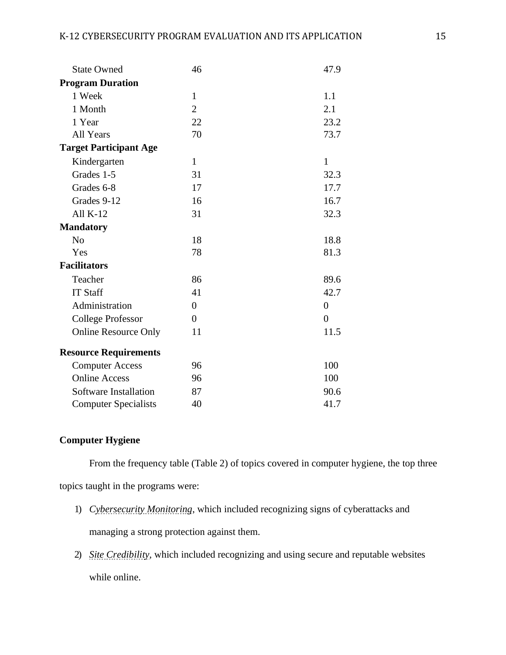| <b>State Owned</b>            | 46               | 47.9           |
|-------------------------------|------------------|----------------|
| <b>Program Duration</b>       |                  |                |
| 1 Week                        | $\mathbf{1}$     | 1.1            |
| 1 Month                       | $\overline{2}$   | 2.1            |
| 1 Year                        | 22               | 23.2           |
| All Years                     | 70               | 73.7           |
| <b>Target Participant Age</b> |                  |                |
| Kindergarten                  | $\mathbf{1}$     | $\mathbf{1}$   |
| Grades 1-5                    | 31               | 32.3           |
| Grades 6-8                    | 17               | 17.7           |
| Grades 9-12                   | 16               | 16.7           |
| All $K-12$                    | 31               | 32.3           |
| <b>Mandatory</b>              |                  |                |
| N <sub>o</sub>                | 18               | 18.8           |
| Yes                           | 78               | 81.3           |
| <b>Facilitators</b>           |                  |                |
| Teacher                       | 86               | 89.6           |
| <b>IT Staff</b>               | 41               | 42.7           |
| Administration                | $\boldsymbol{0}$ | $\overline{0}$ |
| <b>College Professor</b>      | $\overline{0}$   | $\overline{0}$ |
| <b>Online Resource Only</b>   | 11               | 11.5           |
| <b>Resource Requirements</b>  |                  |                |
| <b>Computer Access</b>        | 96               | 100            |
| <b>Online Access</b>          | 96               | 100            |
| Software Installation         | 87               | 90.6           |
| <b>Computer Specialists</b>   | 40               | 41.7           |

## **Computer Hygiene**

From the frequency table (Table 2) of topics covered in computer hygiene, the top three

topics taught in the programs were:

- 1) *Cybersecurity Monitoring*, which included recognizing signs of cyberattacks and managing a strong protection against them.
- 2) *Site Credibility*, which included recognizing and using secure and reputable websites while online.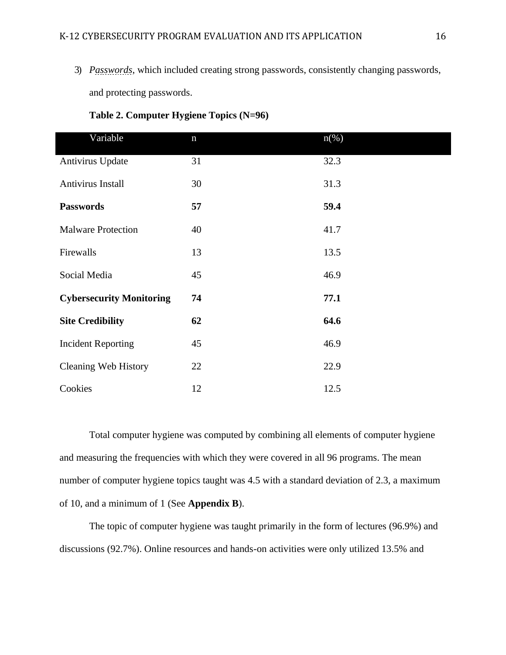3) *Passwords*, which included creating strong passwords, consistently changing passwords, and protecting passwords.

| Variable                        | $\mathbf n$ | $n\left(\%\right)$ |
|---------------------------------|-------------|--------------------|
| Antivirus Update                | 31          | 32.3               |
| Antivirus Install               | 30          | 31.3               |
| <b>Passwords</b>                | 57          | 59.4               |
| <b>Malware Protection</b>       | 40          | 41.7               |
| Firewalls                       | 13          | 13.5               |
| Social Media                    | 45          | 46.9               |
| <b>Cybersecurity Monitoring</b> | 74          | 77.1               |
| <b>Site Credibility</b>         | 62          | 64.6               |
| <b>Incident Reporting</b>       | 45          | 46.9               |
| <b>Cleaning Web History</b>     | 22          | 22.9               |
| Cookies                         | 12          | 12.5               |

### **Table 2. Computer Hygiene Topics (N=96)**

Total computer hygiene was computed by combining all elements of computer hygiene and measuring the frequencies with which they were covered in all 96 programs. The mean number of computer hygiene topics taught was 4.5 with a standard deviation of 2.3, a maximum of 10, and a minimum of 1 (See **Appendix B**).

The topic of computer hygiene was taught primarily in the form of lectures (96.9%) and discussions (92.7%). Online resources and hands-on activities were only utilized 13.5% and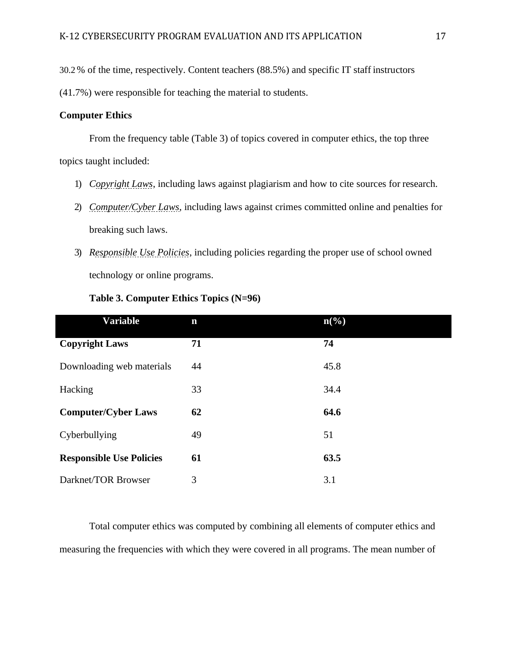30.2 % of the time, respectively. Content teachers (88.5%) and specific IT staff instructors

(41.7%) were responsible for teaching the material to students.

### **Computer Ethics**

From the frequency table (Table 3) of topics covered in computer ethics, the top three topics taught included:

- 1) *Copyright Laws*, including laws against plagiarism and how to cite sources for research.
- 2) *Computer/Cyber Laws*, including laws against crimes committed online and penalties for breaking such laws.
- 3) *Responsible Use Policies*, including policies regarding the proper use of school owned technology or online programs.

| <b>Variable</b>                 | $\mathbf n$ | $n\left(\frac{0}{0}\right)$ |
|---------------------------------|-------------|-----------------------------|
| <b>Copyright Laws</b>           | 71          | 74                          |
| Downloading web materials       | 44          | 45.8                        |
| Hacking                         | 33          | 34.4                        |
| <b>Computer/Cyber Laws</b>      | 62          | 64.6                        |
| Cyberbullying                   | 49          | 51                          |
| <b>Responsible Use Policies</b> | 61          | 63.5                        |
| Darknet/TOR Browser             | 3           | 3.1                         |

### **Table 3. Computer Ethics Topics (N=96)**

Total computer ethics was computed by combining all elements of computer ethics and measuring the frequencies with which they were covered in all programs. The mean number of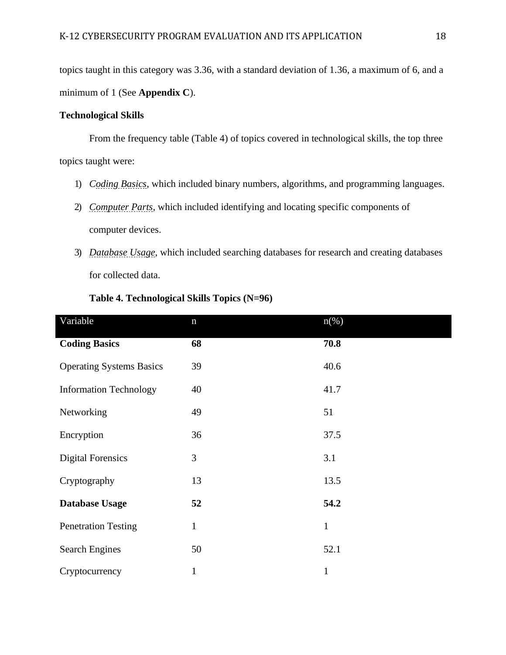topics taught in this category was 3.36, with a standard deviation of 1.36, a maximum of 6, and a minimum of 1 (See **Appendix C**).

### **Technological Skills**

From the frequency table (Table 4) of topics covered in technological skills, the top three topics taught were:

- 1) *Coding Basics*, which included binary numbers, algorithms, and programming languages.
- 2) *Computer Parts*, which included identifying and locating specific components of computer devices.
- 3) *Database Usage*, which included searching databases for research and creating databases for collected data.

| Variable                        | $\mathbf n$  | $n\left(\%\right)$ |
|---------------------------------|--------------|--------------------|
| <b>Coding Basics</b>            | 68           | 70.8               |
| <b>Operating Systems Basics</b> | 39           | 40.6               |
| <b>Information Technology</b>   | 40           | 41.7               |
| Networking                      | 49           | 51                 |
| Encryption                      | 36           | 37.5               |
| <b>Digital Forensics</b>        | 3            | 3.1                |
| Cryptography                    | 13           | 13.5               |
| <b>Database Usage</b>           | 52           | 54.2               |
| <b>Penetration Testing</b>      | $\mathbf{1}$ | $\mathbf{1}$       |
| <b>Search Engines</b>           | 50           | 52.1               |
| Cryptocurrency                  | $\mathbf{1}$ | $\mathbf{1}$       |

### **Table 4. Technological Skills Topics (N=96)**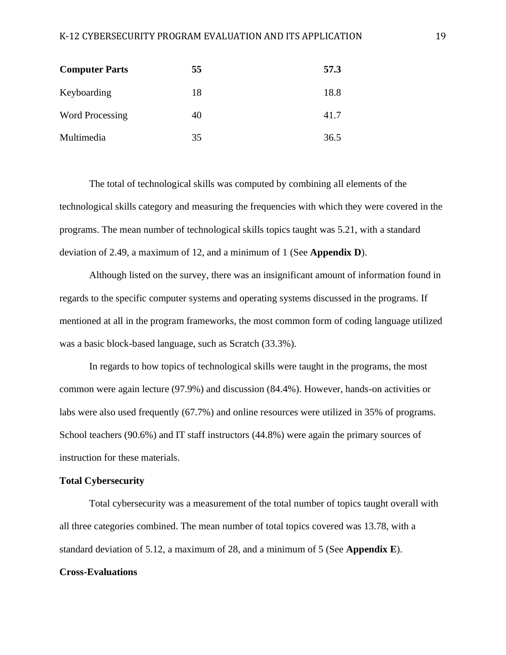#### K-12 CYBERSECURITY PROGRAM EVALUATION AND ITS APPLICATION 19

| <b>Computer Parts</b>  | 55 | 57.3 |
|------------------------|----|------|
| Keyboarding            | 18 | 18.8 |
| <b>Word Processing</b> | 40 | 41.7 |
| Multimedia             | 35 | 36.5 |

The total of technological skills was computed by combining all elements of the technological skills category and measuring the frequencies with which they were covered in the programs. The mean number of technological skills topics taught was 5.21, with a standard deviation of 2.49, a maximum of 12, and a minimum of 1 (See **Appendix D**).

Although listed on the survey, there was an insignificant amount of information found in regards to the specific computer systems and operating systems discussed in the programs. If mentioned at all in the program frameworks, the most common form of coding language utilized was a basic block-based language, such as Scratch (33.3%).

In regards to how topics of technological skills were taught in the programs, the most common were again lecture (97.9%) and discussion (84.4%). However, hands-on activities or labs were also used frequently (67.7%) and online resources were utilized in 35% of programs. School teachers (90.6%) and IT staff instructors (44.8%) were again the primary sources of instruction for these materials.

#### **Total Cybersecurity**

Total cybersecurity was a measurement of the total number of topics taught overall with all three categories combined. The mean number of total topics covered was 13.78, with a standard deviation of 5.12, a maximum of 28, and a minimum of 5 (See **Appendix E**).

#### **Cross-Evaluations**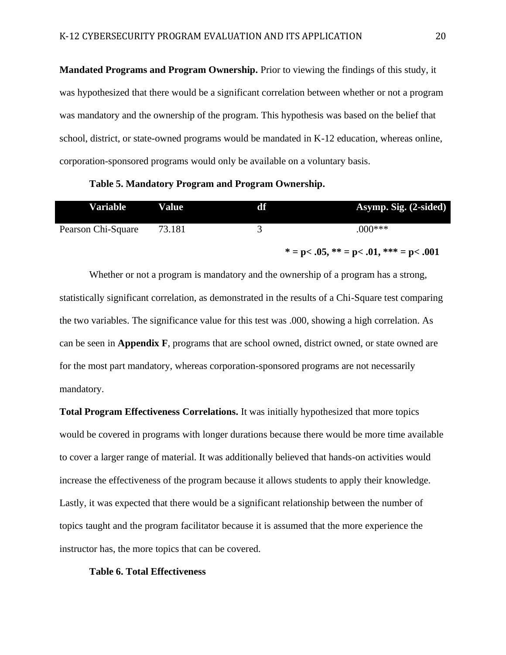**Mandated Programs and Program Ownership.** Prior to viewing the findings of this study, it was hypothesized that there would be a significant correlation between whether or not a program was mandatory and the ownership of the program. This hypothesis was based on the belief that school, district, or state-owned programs would be mandated in K-12 education, whereas online, corporation-sponsored programs would only be available on a voluntary basis.

**Table 5. Mandatory Program and Program Ownership.**

| Variable           | Value  | df | Asymp. Sig. (2-sided)                      |
|--------------------|--------|----|--------------------------------------------|
| Pearson Chi-Square | 73.181 |    | $000***$                                   |
|                    |        |    | $* = p < .05, ** = p < .01, ** = p < .001$ |

Whether or not a program is mandatory and the ownership of a program has a strong, statistically significant correlation, as demonstrated in the results of a Chi-Square test comparing the two variables. The significance value for this test was .000, showing a high correlation. As can be seen in **Appendix F**, programs that are school owned, district owned, or state owned are for the most part mandatory, whereas corporation-sponsored programs are not necessarily mandatory.

**Total Program Effectiveness Correlations.** It was initially hypothesized that more topics would be covered in programs with longer durations because there would be more time available to cover a larger range of material. It was additionally believed that hands-on activities would increase the effectiveness of the program because it allows students to apply their knowledge. Lastly, it was expected that there would be a significant relationship between the number of topics taught and the program facilitator because it is assumed that the more experience the instructor has, the more topics that can be covered.

#### **Table 6. Total Effectiveness**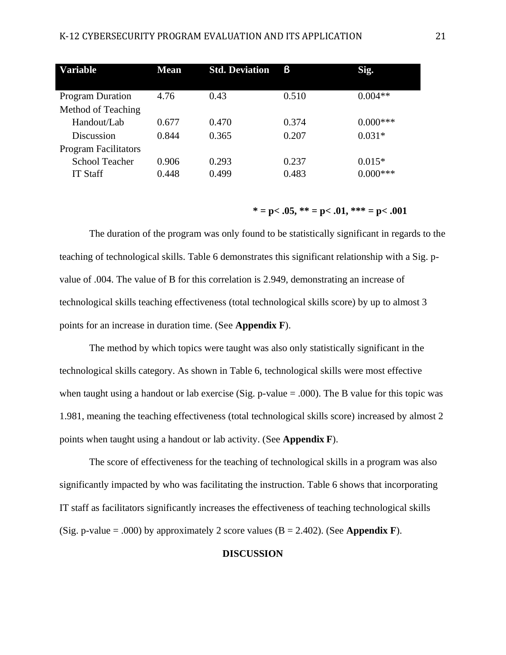| <b>Variable</b>             | <b>Mean</b> | <b>Std. Deviation</b> | ß     | Sig.       |
|-----------------------------|-------------|-----------------------|-------|------------|
|                             |             |                       |       |            |
| <b>Program Duration</b>     | 4.76        | 0.43                  | 0.510 | $0.004**$  |
| Method of Teaching          |             |                       |       |            |
| Handout/Lab                 | 0.677       | 0.470                 | 0.374 | $0.000***$ |
| Discussion                  | 0.844       | 0.365                 | 0.207 | $0.031*$   |
| <b>Program Facilitators</b> |             |                       |       |            |
| <b>School Teacher</b>       | 0.906       | 0.293                 | 0.237 | $0.015*$   |
| <b>IT Staff</b>             | 0.448       | 0.499                 | 0.483 | $0.000***$ |

 $* = p < .05, ** = p < .01,*** = p < .001$ 

The duration of the program was only found to be statistically significant in regards to the teaching of technological skills. Table 6 demonstrates this significant relationship with a Sig. pvalue of .004. The value of B for this correlation is 2.949, demonstrating an increase of technological skills teaching effectiveness (total technological skills score) by up to almost 3 points for an increase in duration time. (See **Appendix F**).

The method by which topics were taught was also only statistically significant in the technological skills category. As shown in Table 6, technological skills were most effective when taught using a handout or lab exercise (Sig.  $p$ -value = .000). The B value for this topic was 1.981, meaning the teaching effectiveness (total technological skills score) increased by almost 2 points when taught using a handout or lab activity. (See **Appendix F**).

The score of effectiveness for the teaching of technological skills in a program was also significantly impacted by who was facilitating the instruction. Table 6 shows that incorporating IT staff as facilitators significantly increases the effectiveness of teaching technological skills (Sig. p-value = .000) by approximately 2 score values (B = 2.402). (See **Appendix F**).

#### **DISCUSSION**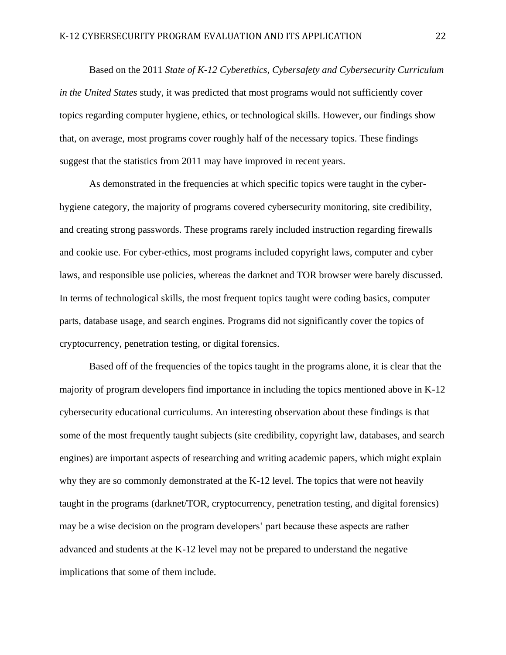Based on the 2011 *State of K-12 Cyberethics, Cybersafety and Cybersecurity Curriculum in the United States* study, it was predicted that most programs would not sufficiently cover topics regarding computer hygiene, ethics, or technological skills. However, our findings show that, on average, most programs cover roughly half of the necessary topics. These findings suggest that the statistics from 2011 may have improved in recent years.

As demonstrated in the frequencies at which specific topics were taught in the cyberhygiene category, the majority of programs covered cybersecurity monitoring, site credibility, and creating strong passwords. These programs rarely included instruction regarding firewalls and cookie use. For cyber-ethics, most programs included copyright laws, computer and cyber laws, and responsible use policies, whereas the darknet and TOR browser were barely discussed. In terms of technological skills, the most frequent topics taught were coding basics, computer parts, database usage, and search engines. Programs did not significantly cover the topics of cryptocurrency, penetration testing, or digital forensics.

Based off of the frequencies of the topics taught in the programs alone, it is clear that the majority of program developers find importance in including the topics mentioned above in K-12 cybersecurity educational curriculums. An interesting observation about these findings is that some of the most frequently taught subjects (site credibility, copyright law, databases, and search engines) are important aspects of researching and writing academic papers, which might explain why they are so commonly demonstrated at the K-12 level. The topics that were not heavily taught in the programs (darknet/TOR, cryptocurrency, penetration testing, and digital forensics) may be a wise decision on the program developers' part because these aspects are rather advanced and students at the K-12 level may not be prepared to understand the negative implications that some of them include.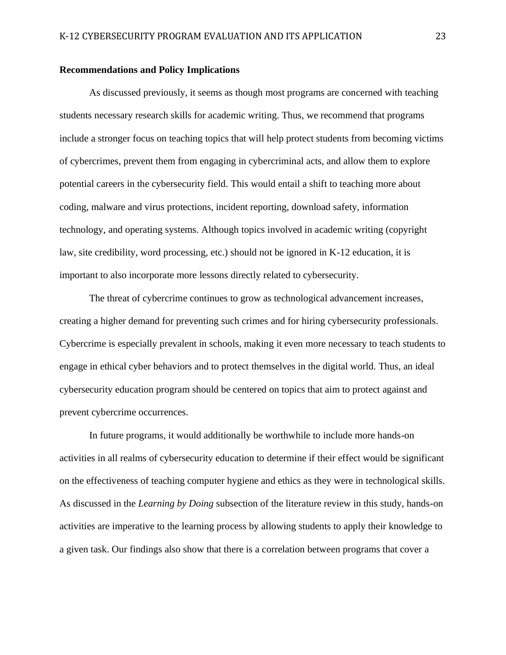#### **Recommendations and Policy Implications**

As discussed previously, it seems as though most programs are concerned with teaching students necessary research skills for academic writing. Thus, we recommend that programs include a stronger focus on teaching topics that will help protect students from becoming victims of cybercrimes, prevent them from engaging in cybercriminal acts, and allow them to explore potential careers in the cybersecurity field. This would entail a shift to teaching more about coding, malware and virus protections, incident reporting, download safety, information technology, and operating systems. Although topics involved in academic writing (copyright law, site credibility, word processing, etc.) should not be ignored in K-12 education, it is important to also incorporate more lessons directly related to cybersecurity.

The threat of cybercrime continues to grow as technological advancement increases, creating a higher demand for preventing such crimes and for hiring cybersecurity professionals. Cybercrime is especially prevalent in schools, making it even more necessary to teach students to engage in ethical cyber behaviors and to protect themselves in the digital world. Thus, an ideal cybersecurity education program should be centered on topics that aim to protect against and prevent cybercrime occurrences.

In future programs, it would additionally be worthwhile to include more hands-on activities in all realms of cybersecurity education to determine if their effect would be significant on the effectiveness of teaching computer hygiene and ethics as they were in technological skills. As discussed in the *Learning by Doing* subsection of the literature review in this study, hands-on activities are imperative to the learning process by allowing students to apply their knowledge to a given task. Our findings also show that there is a correlation between programs that cover a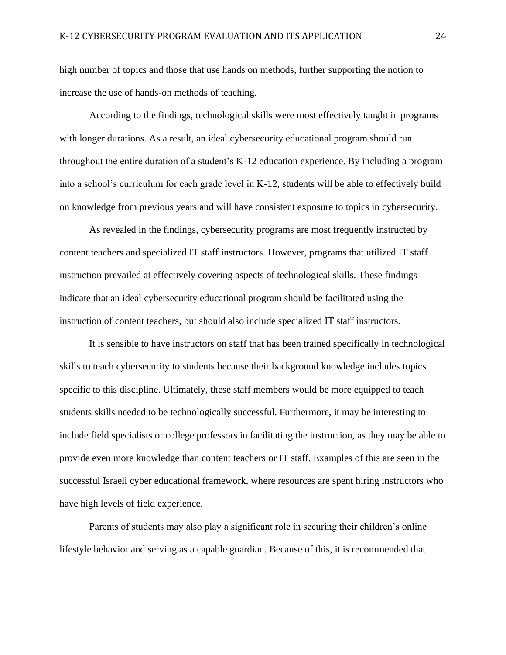high number of topics and those that use hands on methods, further supporting the notion to increase the use of hands-on methods of teaching.

According to the findings, technological skills were most effectively taught in programs with longer durations. As a result, an ideal cybersecurity educational program should run throughout the entire duration of a student's K-12 education experience. By including a program into a school's curriculum for each grade level in K-12, students will be able to effectively build on knowledge from previous years and will have consistent exposure to topics in cybersecurity.

As revealed in the findings, cybersecurity programs are most frequently instructed by content teachers and specialized IT staff instructors. However, programs that utilized IT staff instruction prevailed at effectively covering aspects of technological skills. These findings indicate that an ideal cybersecurity educational program should be facilitated using the instruction of content teachers, but should also include specialized IT staff instructors.

It is sensible to have instructors on staff that has been trained specifically in technological skills to teach cybersecurity to students because their background knowledge includes topics specific to this discipline. Ultimately, these staff members would be more equipped to teach students skills needed to be technologically successful. Furthermore, it may be interesting to include field specialists or college professors in facilitating the instruction, as they may be able to provide even more knowledge than content teachers or IT staff. Examples of this are seen in the successful Israeli cyber educational framework, where resources are spent hiring instructors who have high levels of field experience.

Parents of students may also play a significant role in securing their children's online lifestyle behavior and serving as a capable guardian. Because of this, it is recommended that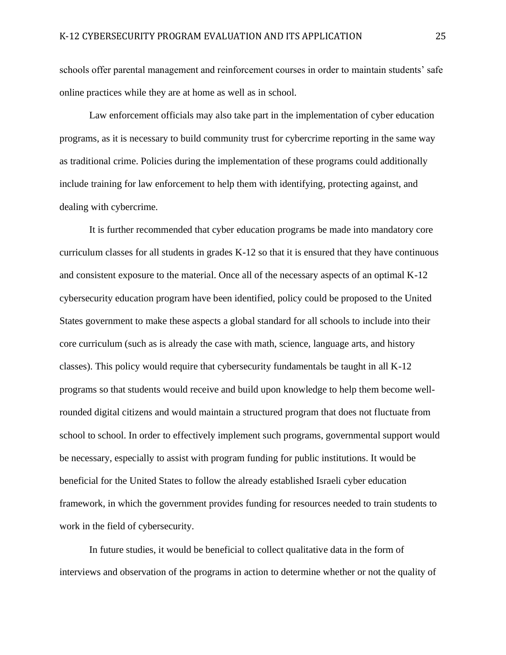schools offer parental management and reinforcement courses in order to maintain students' safe online practices while they are at home as well as in school.

Law enforcement officials may also take part in the implementation of cyber education programs, as it is necessary to build community trust for cybercrime reporting in the same way as traditional crime. Policies during the implementation of these programs could additionally include training for law enforcement to help them with identifying, protecting against, and dealing with cybercrime.

It is further recommended that cyber education programs be made into mandatory core curriculum classes for all students in grades K-12 so that it is ensured that they have continuous and consistent exposure to the material. Once all of the necessary aspects of an optimal K-12 cybersecurity education program have been identified, policy could be proposed to the United States government to make these aspects a global standard for all schools to include into their core curriculum (such as is already the case with math, science, language arts, and history classes). This policy would require that cybersecurity fundamentals be taught in all K-12 programs so that students would receive and build upon knowledge to help them become wellrounded digital citizens and would maintain a structured program that does not fluctuate from school to school. In order to effectively implement such programs, governmental support would be necessary, especially to assist with program funding for public institutions. It would be beneficial for the United States to follow the already established Israeli cyber education framework, in which the government provides funding for resources needed to train students to work in the field of cybersecurity.

In future studies, it would be beneficial to collect qualitative data in the form of interviews and observation of the programs in action to determine whether or not the quality of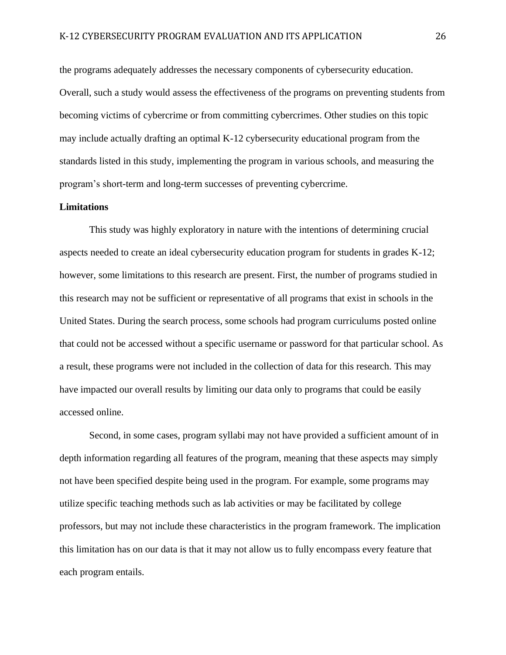the programs adequately addresses the necessary components of cybersecurity education. Overall, such a study would assess the effectiveness of the programs on preventing students from becoming victims of cybercrime or from committing cybercrimes. Other studies on this topic may include actually drafting an optimal K-12 cybersecurity educational program from the standards listed in this study, implementing the program in various schools, and measuring the program's short-term and long-term successes of preventing cybercrime.

#### **Limitations**

This study was highly exploratory in nature with the intentions of determining crucial aspects needed to create an ideal cybersecurity education program for students in grades K-12; however, some limitations to this research are present. First, the number of programs studied in this research may not be sufficient or representative of all programs that exist in schools in the United States. During the search process, some schools had program curriculums posted online that could not be accessed without a specific username or password for that particular school. As a result, these programs were not included in the collection of data for this research. This may have impacted our overall results by limiting our data only to programs that could be easily accessed online.

Second, in some cases, program syllabi may not have provided a sufficient amount of in depth information regarding all features of the program, meaning that these aspects may simply not have been specified despite being used in the program. For example, some programs may utilize specific teaching methods such as lab activities or may be facilitated by college professors, but may not include these characteristics in the program framework. The implication this limitation has on our data is that it may not allow us to fully encompass every feature that each program entails.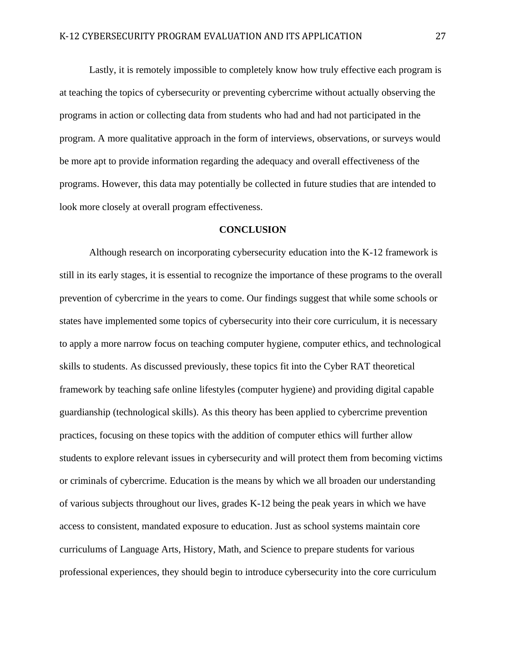Lastly, it is remotely impossible to completely know how truly effective each program is at teaching the topics of cybersecurity or preventing cybercrime without actually observing the programs in action or collecting data from students who had and had not participated in the program. A more qualitative approach in the form of interviews, observations, or surveys would be more apt to provide information regarding the adequacy and overall effectiveness of the programs. However, this data may potentially be collected in future studies that are intended to look more closely at overall program effectiveness.

#### **CONCLUSION**

Although research on incorporating cybersecurity education into the K-12 framework is still in its early stages, it is essential to recognize the importance of these programs to the overall prevention of cybercrime in the years to come. Our findings suggest that while some schools or states have implemented some topics of cybersecurity into their core curriculum, it is necessary to apply a more narrow focus on teaching computer hygiene, computer ethics, and technological skills to students. As discussed previously, these topics fit into the Cyber RAT theoretical framework by teaching safe online lifestyles (computer hygiene) and providing digital capable guardianship (technological skills). As this theory has been applied to cybercrime prevention practices, focusing on these topics with the addition of computer ethics will further allow students to explore relevant issues in cybersecurity and will protect them from becoming victims or criminals of cybercrime. Education is the means by which we all broaden our understanding of various subjects throughout our lives, grades K-12 being the peak years in which we have access to consistent, mandated exposure to education. Just as school systems maintain core curriculums of Language Arts, History, Math, and Science to prepare students for various professional experiences, they should begin to introduce cybersecurity into the core curriculum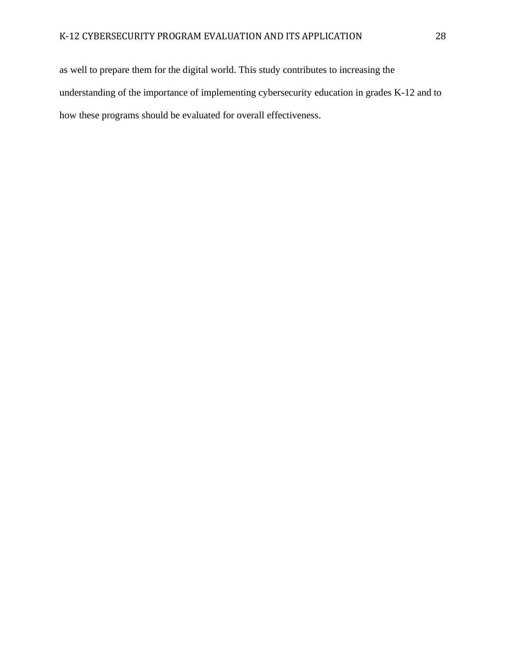as well to prepare them for the digital world. This study contributes to increasing the understanding of the importance of implementing cybersecurity education in grades K-12 and to how these programs should be evaluated for overall effectiveness.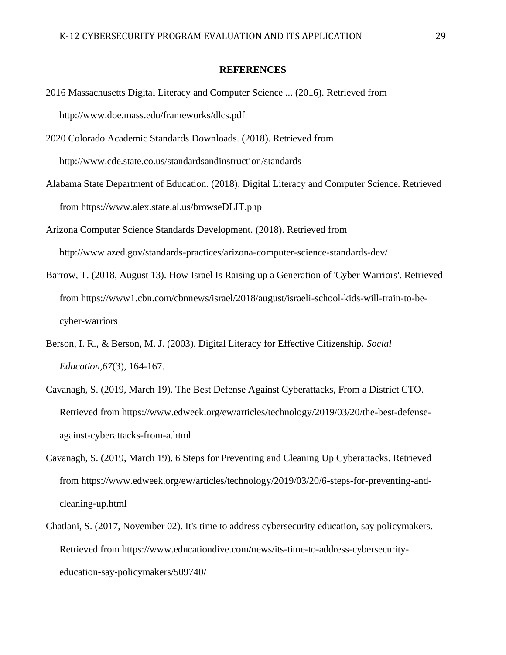#### **REFERENCES**

- 2016 Massachusetts Digital Literacy and Computer Science ... (2016). Retrieved from <http://www.doe.mass.edu/frameworks/dlcs.pdf>
- 2020 Colorado Academic Standards Downloads. (2018). Retrieved from <http://www.cde.state.co.us/standardsandinstruction/standards>
- Alabama State Department of Education. (2018). Digital Literacy and Computer Science. Retrieved from h[ttps://www.alex.state.al.us/browseDLIT.php](http://www.alex.state.al.us/browseDLIT.php)
- Arizona Computer Science Standards Development. (2018). Retrieved from <http://www.azed.gov/standards-practices/arizona-computer-science-standards-dev/>
- Barrow, T. (2018, August 13). How Israel Is Raising up a Generation of 'Cyber Warriors'. Retrieved from https://www1.cbn.com/cbnnews/israel/2018/august/israeli-school-kids-will-train-to-becyber-warriors
- Berson, I. R., & Berson, M. J. (2003). Digital Literacy for Effective Citizenship. *Social Education,67*(3), 164-167.
- Cavanagh, S. (2019, March 19). The Best Defense Against Cyberattacks, From a District CTO. Retrieved from h[ttps://www.edweek.org/ew/articles/technology/2019/03/20/the-best-defense](http://www.edweek.org/ew/articles/technology/2019/03/20/the-best-defense-)against-cyberattacks-from-a.html
- Cavanagh, S. (2019, March 19). 6 Steps for Preventing and Cleaning Up Cyberattacks. Retrieved from h[ttps://www.edweek.org/ew/articles/technology/2019/03/20/6-steps-for-preventing-and](http://www.edweek.org/ew/articles/technology/2019/03/20/6-steps-for-preventing-and-)cleaning-up.html
- Chatlani, S. (2017, November 02). It's time to address cybersecurity education, say policymakers. Retrieved from h[ttps://www.educationdive.com/news/its-time-to-address-cybersecurity](http://www.educationdive.com/news/its-time-to-address-cybersecurity-)education-say-policymakers/509740/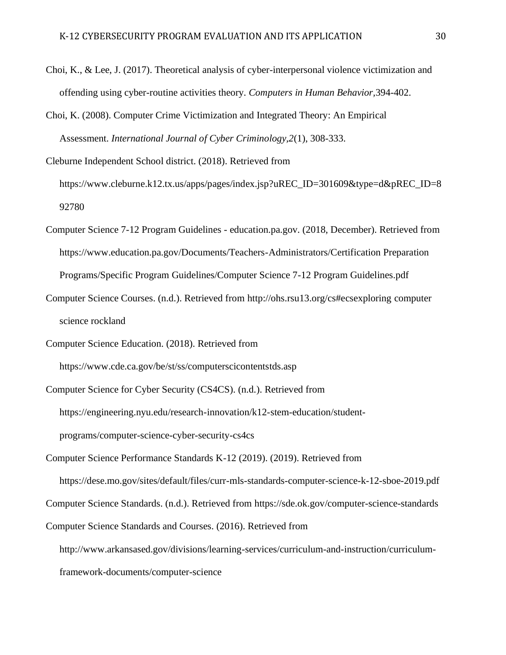- Choi, K., & Lee, J. (2017). Theoretical analysis of cyber-interpersonal violence victimization and offending using cyber-routine activities theory. *Computers in Human Behavior,*394-402.
- Choi, K. (2008). Computer Crime Victimization and Integrated Theory: An Empirical Assessment. *International Journal of Cyber Criminology,2*(1), 308-333.
- Cleburne Independent School district. (2018). Retrieved from h[ttps://www.cleburne.k12.tx.us/apps/pages/index.jsp?uREC\\_ID=301609&type=d&pREC\\_ID=8](http://www.cleburne.k12.tx.us/apps/pages/index.jsp?uREC_ID=301609&type=d&pREC_ID=8) 92780
- Computer Science 7-12 Program Guidelines education.pa.gov. (2018, December). Retrieved from h[ttps://www.education.pa.gov/Documents/Teachers-Administrators/Certification](http://www.education.pa.gov/Documents/Teachers-Administrators/Certification) Preparation Programs/Specific Program Guidelines/Computer Science 7-12 Program Guidelines.pdf
- Computer Science Courses. (n.d.). Retrieved from<http://ohs.rsu13.org/cs#ecsexploring> computer science rockland
- Computer Science Education. (2018). Retrieved from

h[ttps://www.cde.ca.gov/be/st/ss/computerscicontentstds.asp](http://www.cde.ca.gov/be/st/ss/computerscicontentstds.asp)

Computer Science for Cyber Security (CS4CS). (n.d.). Retrieved from https://engineering.nyu.edu/research-innovation/k12-stem-education/student-

programs/computer-science-cyber-security-cs4cs

Computer Science Performance Standards K-12 (2019). (2019). Retrieved from

https://dese.mo.gov/sites/default/files/curr-mls-standards-computer-science-k-12-sboe-2019.pdf

Computer Science Standards. (n.d.). Retrieved from https://sde.ok.gov/computer-science-standards

Computer Science Standards and Courses. (2016). Retrieved from

[http://www.arkansased.gov/divisions/learning-services/curriculum-and-instruction/curriculum](http://www.arkansased.gov/divisions/learning-services/curriculum-and-instruction/curriculum-)framework-documents/computer-science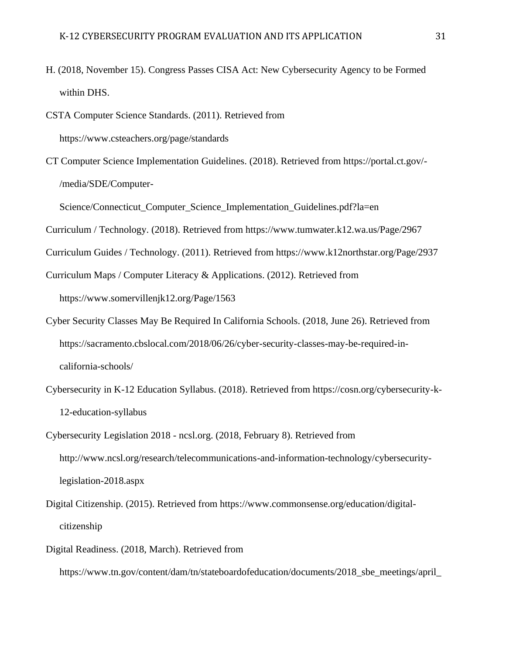- H. (2018, November 15). Congress Passes CISA Act: New Cybersecurity Agency to be Formed within DHS.
- CSTA Computer Science Standards. (2011). Retrieved from h[ttps://www.csteachers.org/page/standards](http://www.csteachers.org/page/standards)
- CT Computer Science Implementation Guidelines. (2018). Retrieved from https://portal.ct.gov/- /media/SDE/Computer-

Science/Connecticut\_Computer\_Science\_Implementation\_Guidelines.pdf?la=en

Curriculum / Technology. (2018). Retrieved from h[ttps://www.tumwater.k12.wa.us/Page/2967](http://www.tumwater.k12.wa.us/Page/2967)

Curriculum Guides / Technology. (2011). Retrieved from https:/[/www.k12northstar.org/Page/2937](http://www.k12northstar.org/Page/2937)

Curriculum Maps / Computer Literacy & Applications. (2012). Retrieved from

h[ttps://www.somervillenjk12.org/Page/1563](http://www.somervillenjk12.org/Page/1563)

- Cyber Security Classes May Be Required In California Schools. (2018, June 26). Retrieved from https://sacramento.cbslocal.com/2018/06/26/cyber-security-classes-may-be-required-incalifornia-schools/
- Cybersecurity in K-12 Education Syllabus. (2018). Retrieved from https://cosn.org/cybersecurity-k-12-education-syllabus
- Cybersecurity Legislation 2018 ncsl.org. (2018, February 8). Retrieved from [http://www.ncsl.org/research/telecommunications-and-information-technology/cybersecurity](http://www.ncsl.org/research/telecommunications-and-information-technology/cybersecurity-)legislation-2018.aspx
- Digital Citizenship. (2015). Retrieved from h[ttps://www.commonsense.org/education/digital](http://www.commonsense.org/education/digital-)citizenship

### Digital Readiness. (2018, March). Retrieved from

h[ttps://www.tn.gov/content/dam/tn/stateboardofeducation/documents/2018\\_sbe\\_meetings/april\\_](http://www.tn.gov/content/dam/tn/stateboardofeducation/documents/2018_sbe_meetings/april_)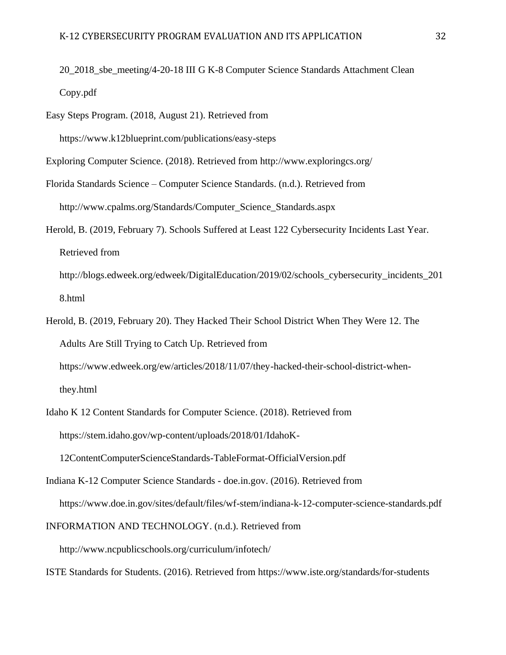- 20\_2018\_sbe\_meeting/4-20-18 III G K-8 Computer Science Standards Attachment Clean Copy.pdf
- Easy Steps Program. (2018, August 21). Retrieved from

h[ttps://www.k12blueprint.com/publications/easy-steps](http://www.k12blueprint.com/publications/easy-steps)

- Exploring Computer Science. (2018). Retrieved from<http://www.exploringcs.org/>
- Florida Standards Science Computer Science Standards. (n.d.). Retrieved from [http://www.cpalms.org/Standards/Computer\\_Science\\_Standards.aspx](http://www.cpalms.org/Standards/Computer_Science_Standards.aspx)
- Herold, B. (2019, February 7). Schools Suffered at Least 122 Cybersecurity Incidents Last Year. Retrieved from [http://blogs.edweek.org/edweek/DigitalEducation/2019/02/schools\\_cybersecurity\\_incidents\\_201](http://blogs.edweek.org/edweek/DigitalEducation/2019/02/schools_cybersecurity_incidents_201)

8.html

- Herold, B. (2019, February 20). They Hacked Their School District When They Were 12. The Adults Are Still Trying to Catch Up. Retrieved from h[ttps://www.edweek.org/ew/articles/2018/11/07/they-hacked-their-school-district-when](http://www.edweek.org/ew/articles/2018/11/07/they-hacked-their-school-district-when-)they.html
- Idaho K 12 Content Standards for Computer Science. (2018). Retrieved from https://stem.idaho.gov/wp-content/uploads/2018/01/IdahoK-

12ContentComputerScienceStandards-TableFormat-OfficialVersion.pdf

Indiana K-12 Computer Science Standards - doe.in.gov. (2016). Retrieved from h[ttps://www.doe.in.gov/sites/default/files/wf-stem/indiana-k-12-computer-science-standards.pdf](http://www.doe.in.gov/sites/default/files/wf-stem/indiana-k-12-computer-science-standards.pdf)

INFORMATION AND TECHNOLOGY. (n.d.). Retrieved from

<http://www.ncpublicschools.org/curriculum/infotech/>

ISTE Standards for Students. (2016). Retrieved from h[ttps://www.iste.org/standards/for-students](http://www.iste.org/standards/for-students)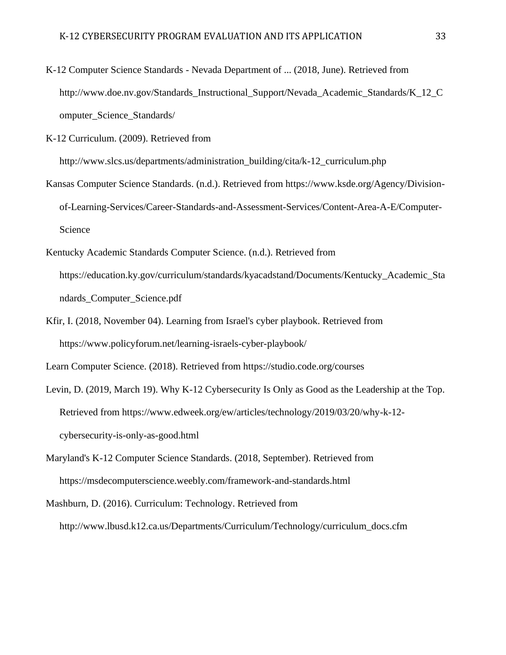K-12 Computer Science Standards - Nevada Department of ... (2018, June). Retrieved from [http://www.doe.nv.gov/Standards\\_Instructional\\_Support/Nevada\\_Academic\\_Standards/K\\_12\\_C](http://www.doe.nv.gov/Standards_Instructional_Support/Nevada_Academic_Standards/K_12_C) omputer\_Science\_Standards/

K-12 Curriculum. (2009). Retrieved from

[http://www.slcs.us/departments/administration\\_building/cita/k-12\\_curriculum.php](http://www.slcs.us/departments/administration_building/cita/k-12_curriculum.php)

- Kansas Computer Science Standards. (n.d.). Retrieved from h[ttps://www.ksde.org/Agency/Division](http://www.ksde.org/Agency/Division-)of-Learning-Services/Career-Standards-and-Assessment-Services/Content-Area-A-E/Computer-Science
- Kentucky Academic Standards Computer Science. (n.d.). Retrieved from https://education.ky.gov/curriculum/standards/kyacadstand/Documents/Kentucky\_Academic\_Sta ndards\_Computer\_Science.pdf
- Kfir, I. (2018, November 04). Learning from Israel's cyber playbook. Retrieved from h[ttps://www.policyforum.net/learning-israels-cyber-playbook/](http://www.policyforum.net/learning-israels-cyber-playbook/)

Learn Computer Science. (2018). Retrieved from https://studio.code.org/courses

- Levin, D. (2019, March 19). Why K-12 Cybersecurity Is Only as Good as the Leadership at the Top. Retrieved from h[ttps://www.edweek.org/ew/articles/technology/2019/03/20/why-k-12](http://www.edweek.org/ew/articles/technology/2019/03/20/why-k-12-) cybersecurity-is-only-as-good.html
- Maryland's K-12 Computer Science Standards. (2018, September). Retrieved from https://msdecomputerscience.weebly.com/framework-and-standards.html
- Mashburn, D. (2016). Curriculum: Technology. Retrieved from

[http://www.lbusd.k12.ca.us/Departments/Curriculum/Technology/curriculum\\_docs.cfm](http://www.lbusd.k12.ca.us/Departments/Curriculum/Technology/curriculum_docs.cfm)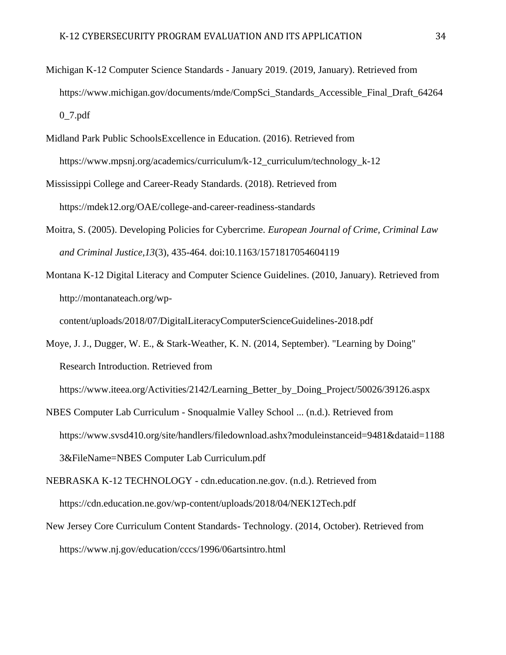- Michigan K-12 Computer Science Standards January 2019. (2019, January). Retrieved from h[ttps://www.michigan.gov/documents/mde/CompSci\\_Standards\\_Accessible\\_Final\\_Draft\\_64264](http://www.michigan.gov/documents/mde/CompSci_Standards_Accessible_Final_Draft_64264) 0\_7.pdf
- Midland Park Public SchoolsExcellence in Education. (2016). Retrieved from https://www.mpsnj.org/academics/curriculum/k-12 curriculum/technology k-12
- Mississippi College and Career-Ready Standards. (2018). Retrieved from https://mdek12.org/OAE/college-and-career-readiness-standards
- Moitra, S. (2005). Developing Policies for Cybercrime. *European Journal of Crime, Criminal Law and Criminal Justice,13*(3), 435-464. doi:10.1163/1571817054604119
- Montana K-12 Digital Literacy and Computer Science Guidelines. (2010, January). Retrieved from <http://montanateach.org/wp->

content/uploads/2018/07/DigitalLiteracyComputerScienceGuidelines-2018.pdf

Moye, J. J., Dugger, W. E., & Stark-Weather, K. N. (2014, September). "Learning by Doing" Research Introduction. Retrieved from

h[ttps://www.iteea.org/Activities/2142/Learning\\_Better\\_by\\_Doing\\_Project/50026/39126.aspx](http://www.iteea.org/Activities/2142/Learning_Better_by_Doing_Project/50026/39126.aspx)

NBES Computer Lab Curriculum - Snoqualmie Valley School ... (n.d.). Retrieved from h[ttps://www.svsd410.org/site/handlers/filedownload.ashx?moduleinstanceid=9481&dataid=1188](http://www.svsd410.org/site/handlers/filedownload.ashx?moduleinstanceid=9481&dataid=1188) 3&FileName=NBES Computer Lab Curriculum.pdf

NEBRASKA K-12 TECHNOLOGY - cdn.education.ne.gov. (n.d.). Retrieved from https://cdn.education.ne.gov/wp-content/uploads/2018/04/NEK12Tech.pdf

New Jersey Core Curriculum Content Standards- Technology. (2014, October). Retrieved from h[ttps://www.nj.gov/education/cccs/1996/06artsintro.html](http://www.nj.gov/education/cccs/1996/06artsintro.html)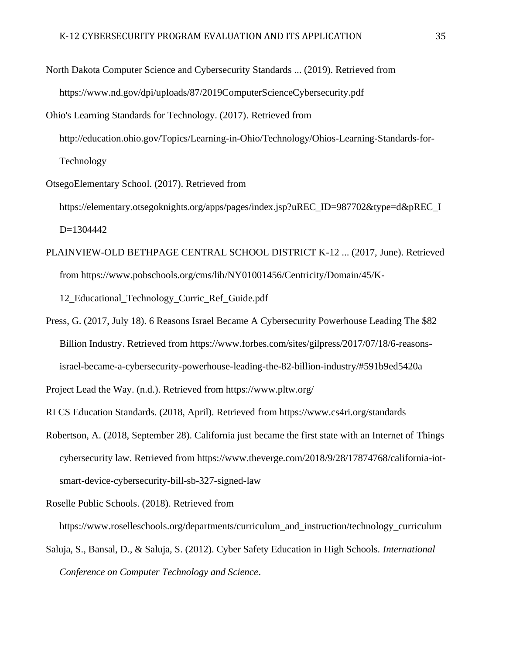- North Dakota Computer Science and Cybersecurity Standards ... (2019). Retrieved from h[ttps://www.nd.gov/dpi/uploads/87/2019ComputerScienceCybersecurity.pdf](http://www.nd.gov/dpi/uploads/87/2019ComputerScienceCybersecurity.pdf) Ohio's Learning Standards for Technology. (2017). Retrieved from <http://education.ohio.gov/Topics/Learning-in-Ohio/Technology/Ohios-Learning-Standards-for->Technology
- OtsegoElementary School. (2017). Retrieved from
	- https://elementary.otsegoknights.org/apps/pages/index.jsp?uREC\_ID=987702&type=d&pREC\_I D=1304442
- PLAINVIEW-OLD BETHPAGE CENTRAL SCHOOL DISTRICT K-12 ... (2017, June). Retrieved from h[ttps://www.pobschools.org/cms/lib/NY01001456/Centricity/Domain/45/K-](http://www.pobschools.org/cms/lib/NY01001456/Centricity/Domain/45/K-)

12\_Educational\_Technology\_Curric\_Ref\_Guide.pdf

Press, G. (2017, July 18). 6 Reasons Israel Became A Cybersecurity Powerhouse Leading The \$82 Billion Industry. Retrieved from h[ttps://www.forbes.com/sites/gilpress/2017/07/18/6-reasons](http://www.forbes.com/sites/gilpress/2017/07/18/6-reasons-)israel-became-a-cybersecurity-powerhouse-leading-the-82-billion-industry/#591b9ed5420a

Project Lead the Way. (n.d.). Retrieved from h[ttps://www.pltw.org/](http://www.pltw.org/)

- RI CS Education Standards. (2018, April). Retrieved from h[ttps://www.cs4ri.org/standards](http://www.cs4ri.org/standards)
- Robertson, A. (2018, September 28). California just became the first state with an Internet of Things cybersecurity law. Retrieved from h[ttps://www.theverge.com/2018/9/28/17874768/california-iot](http://www.theverge.com/2018/9/28/17874768/california-iot-)smart-device-cybersecurity-bill-sb-327-signed-law
- Roselle Public Schools. (2018). Retrieved from

h[ttps://www.roselleschools.org/departments/curriculum\\_and\\_instruction/technology\\_curriculum](http://www.roselleschools.org/departments/curriculum_and_instruction/technology_curriculum)

Saluja, S., Bansal, D., & Saluja, S. (2012). Cyber Safety Education in High Schools. *International Conference on Computer Technology and Science*.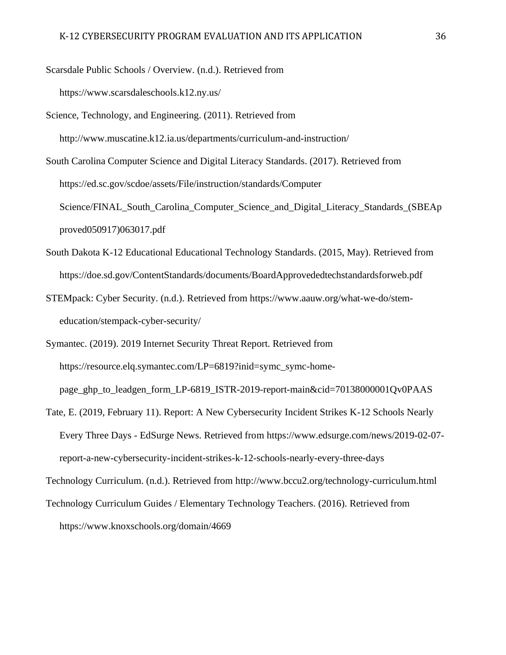Scarsdale Public Schools / Overview. (n.d.). Retrieved from

h[ttps://www.scarsdaleschools.k12.ny.us/](http://www.scarsdaleschools.k12.ny.us/)

Science, Technology, and Engineering. (2011). Retrieved from <http://www.muscatine.k12.ia.us/departments/curriculum-and-instruction/>

South Carolina Computer Science and Digital Literacy Standards. (2017). Retrieved from https://ed.sc.gov/scdoe/assets/File/instruction/standards/Computer Science/FINAL\_South\_Carolina\_Computer\_Science\_and\_Digital\_Literacy\_Standards\_(SBEAp proved050917)063017.pdf

- South Dakota K-12 Educational Educational Technology Standards. (2015, May). Retrieved from https://doe.sd.gov/ContentStandards/documents/BoardApprovededtechstandardsforweb.pdf
- STEMpack: Cyber Security. (n.d.). Retrieved from h[ttps://www.aauw.org/what-we-do/stem](http://www.aauw.org/what-we-do/stem-)education/stempack-cyber-security/

Symantec. (2019). 2019 Internet Security Threat Report. Retrieved from https://resource.elq.symantec.com/LP=6819?inid=symc\_symc-homepage\_ghp\_to\_leadgen\_form\_LP-6819\_ISTR-2019-report-main&cid=70138000001Qv0PAAS

Tate, E. (2019, February 11). Report: A New Cybersecurity Incident Strikes K-12 Schools Nearly Every Three Days - EdSurge News. Retrieved from h[ttps://www.edsurge.com/news/2019-02-07](http://www.edsurge.com/news/2019-02-07-) report-a-new-cybersecurity-incident-strikes-k-12-schools-nearly-every-three-days

Technology Curriculum. (n.d.). Retrieved from<http://www.bccu2.org/technology-curriculum.html>

Technology Curriculum Guides / Elementary Technology Teachers. (2016). Retrieved from h[ttps://www.knoxschools.org/domain/4669](http://www.knoxschools.org/domain/4669)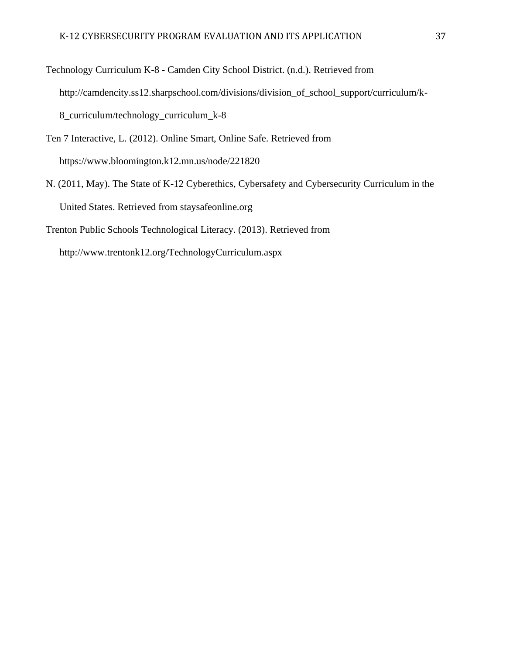Technology Curriculum K-8 - Camden City School District. (n.d.). Retrieved from [http://camdencity.ss12.sharpschool.com/divisions/division\\_of\\_school\\_support/curriculum/k-](http://camdencity.ss12.sharpschool.com/divisions/division_of_school_support/curriculum/k-)8\_curriculum/technology\_curriculum\_k-8

Ten 7 Interactive, L. (2012). Online Smart, Online Safe. Retrieved from h[ttps://www.bloomington.k12.mn.us/node/221820](http://www.bloomington.k12.mn.us/node/221820)

N. (2011, May). The State of K-12 Cyberethics, Cybersafety and Cybersecurity Curriculum in the United States. Retrieved from staysafeonline.org

Trenton Public Schools Technological Literacy. (2013). Retrieved from

<http://www.trentonk12.org/TechnologyCurriculum.aspx>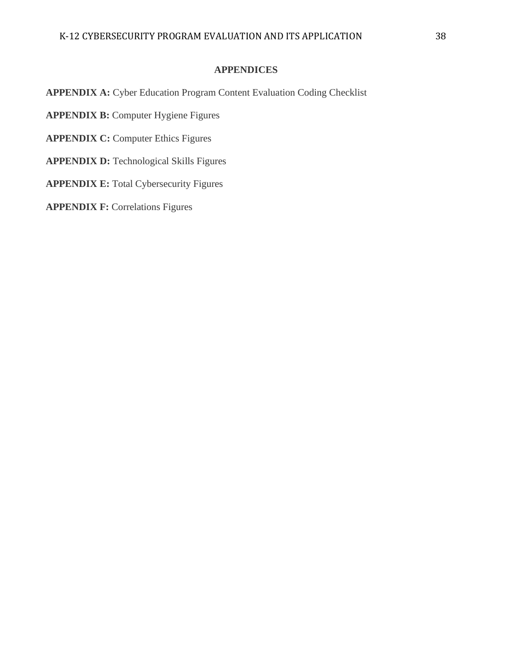### **APPENDICES**

**APPENDIX A:** Cyber Education Program Content Evaluation Coding Checklist

**APPENDIX B:** Computer Hygiene Figures

**APPENDIX C: Computer Ethics Figures** 

**APPENDIX D:** Technological Skills Figures

**APPENDIX E:** Total Cybersecurity Figures

**APPENDIX F: Correlations Figures**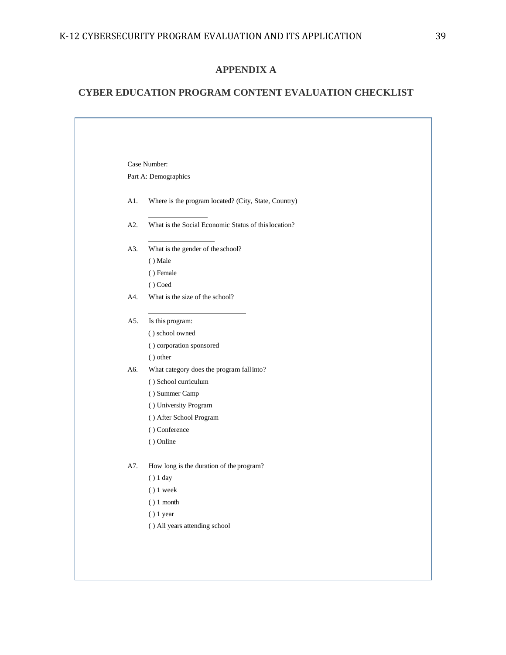## **APPENDIX A**

## **CYBER EDUCATION PROGRAM CONTENT EVALUATION CHECKLIST**

|     | Case Number:                                         |
|-----|------------------------------------------------------|
|     | Part A: Demographics                                 |
|     |                                                      |
| A1. | Where is the program located? (City, State, Country) |
| A2. | What is the Social Economic Status of this location? |
| A3. | What is the gender of the school?                    |
|     | () Male                                              |
|     | () Female                                            |
|     | () Coed                                              |
| A4. | What is the size of the school?                      |
| A5. | Is this program:                                     |
|     | () school owned                                      |
|     | () corporation sponsored                             |
|     | () other                                             |
| A6. | What category does the program fall into?            |
|     | () School curriculum                                 |
|     | () Summer Camp                                       |
|     | () University Program                                |
|     | () After School Program                              |
|     | () Conference                                        |
|     | () Online                                            |
| A7. | How long is the duration of the program?             |
|     | $()$ 1 day                                           |
|     | $()$ 1 week                                          |
|     | () 1 month                                           |
|     | $()$ 1 year                                          |
|     | () All years attending school                        |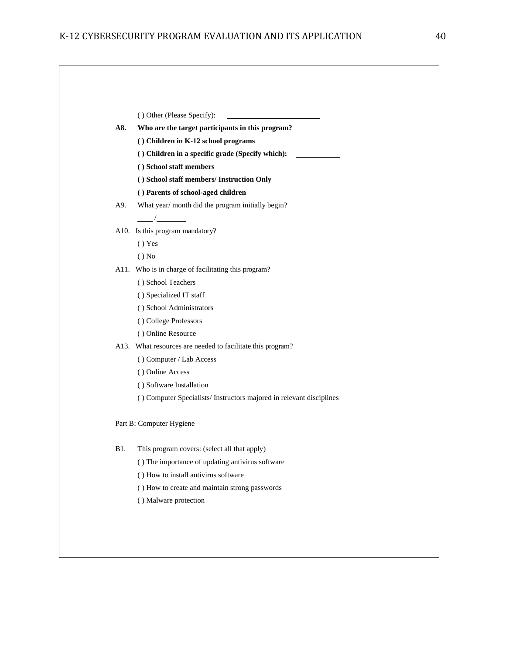|             | () Other (Please Specify):                                                      |
|-------------|---------------------------------------------------------------------------------|
| A8.         | Who are the target participants in this program?                                |
|             | () Children in K-12 school programs                                             |
|             | () Children in a specific grade (Specify which):                                |
|             | () School staff members                                                         |
|             | () School staff members/ Instruction Only<br>() Parents of school-aged children |
| A9.         | What year/ month did the program initially begin?                               |
|             | $\frac{1}{\sqrt{1-\frac{1}{2}}}\left( \frac{1}{\sqrt{1-\frac{1}{2}}}\right)$    |
|             | A10. Is this program mandatory?                                                 |
|             | () Yes                                                                          |
|             | $()$ No                                                                         |
|             | A11. Who is in charge of facilitating this program?                             |
|             | () School Teachers                                                              |
|             | () Specialized IT staff                                                         |
|             | () School Administrators                                                        |
|             | () College Professors                                                           |
|             | () Online Resource                                                              |
|             | A13. What resources are needed to facilitate this program?                      |
|             | () Computer / Lab Access                                                        |
|             | () Online Access                                                                |
|             | () Software Installation                                                        |
|             | () Computer Specialists/Instructors majored in relevant disciplines             |
|             | Part B: Computer Hygiene                                                        |
| <b>B</b> 1. | This program covers: (select all that apply)                                    |
|             | () The importance of updating antivirus software                                |
|             | () How to install antivirus software                                            |
|             | () How to create and maintain strong passwords                                  |
|             | () Malware protection                                                           |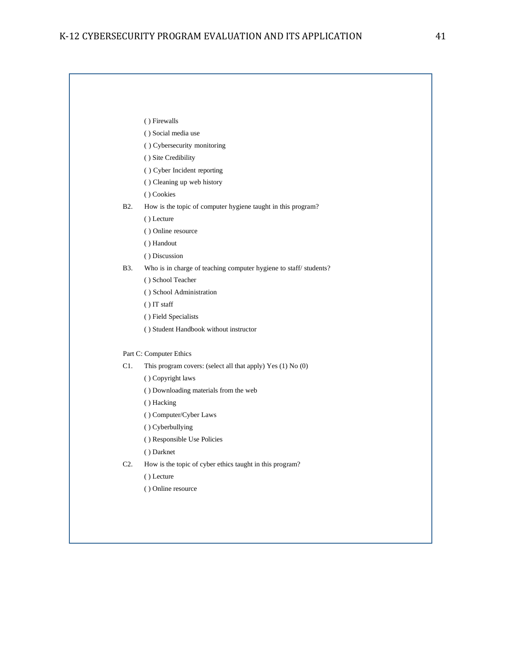|                  | () Firewalls                                                     |
|------------------|------------------------------------------------------------------|
|                  | () Social media use                                              |
|                  | () Cybersecurity monitoring                                      |
|                  | () Site Credibility                                              |
|                  | () Cyber Incident reporting                                      |
|                  | () Cleaning up web history                                       |
|                  | () Cookies                                                       |
| B <sub>2</sub> . | How is the topic of computer hygiene taught in this program?     |
|                  | () Lecture                                                       |
|                  | () Online resource                                               |
|                  | () Handout                                                       |
|                  | () Discussion                                                    |
| B3.              | Who is in charge of teaching computer hygiene to staff/students? |
|                  | () School Teacher                                                |
|                  | () School Administration                                         |
|                  | $( )$ IT staff                                                   |
|                  | () Field Specialists                                             |
|                  | () Student Handbook without instructor                           |
|                  | Part C: Computer Ethics                                          |
| C1.              | This program covers: (select all that apply) Yes (1) No (0)      |
|                  | () Copyright laws                                                |
|                  | () Downloading materials from the web                            |
|                  | () Hacking                                                       |
|                  | () Computer/Cyber Laws                                           |
|                  | () Cyberbullying                                                 |
|                  | () Responsible Use Policies                                      |
|                  | () Darknet                                                       |
| C <sub>2</sub>   | How is the topic of cyber ethics taught in this program?         |
|                  | () Lecture                                                       |
|                  | () Online resource                                               |
|                  |                                                                  |
|                  |                                                                  |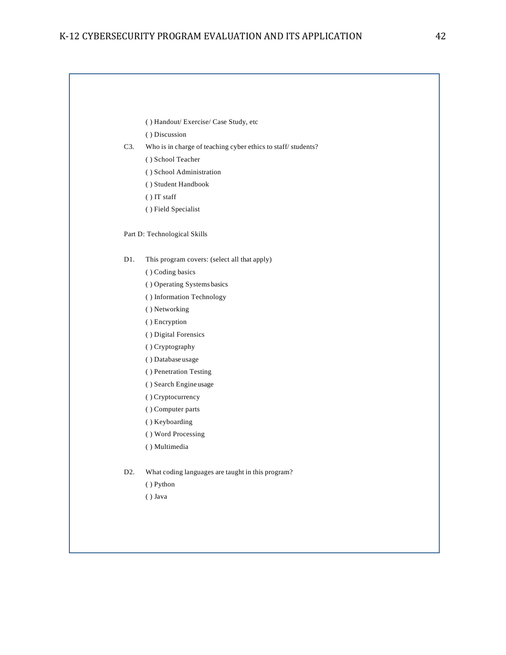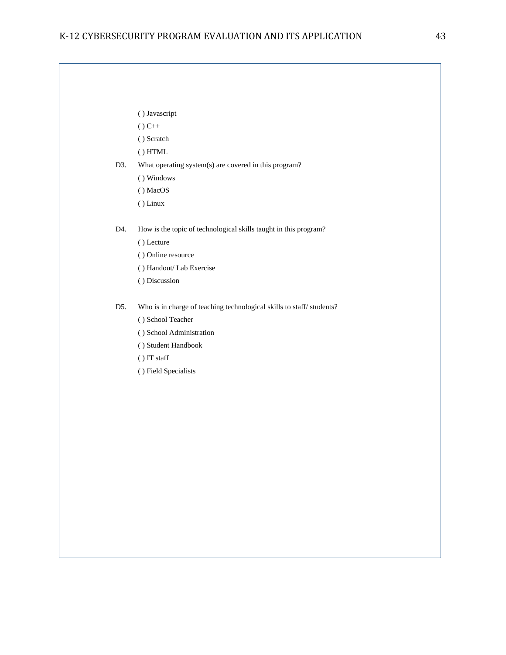|  | () Javascript |
|--|---------------|
|  |               |

 $() C++$ 

( ) Scratch

( ) HTML

D3. What operating system(s) are covered in this program?

( ) Windows

( ) MacOS

( ) Linux

D4. How is the topic of technological skills taught in this program?

- ( ) Lecture
- ( ) Online resource
- ( ) Handout/ Lab Exercise
- ( ) Discussion

D5. Who is in charge of teaching technological skills to staff/ students?

( ) School Teacher

( ) School Administration

( ) Student Handbook

( ) IT staff

( ) Field Specialists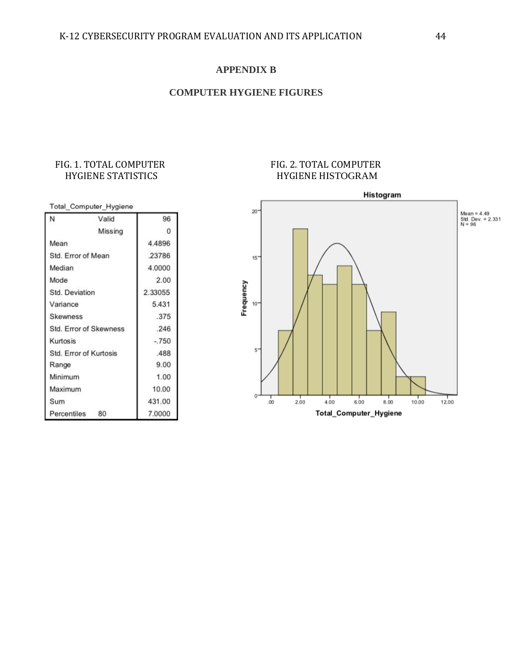## **APPENDIX B**

## **COMPUTER HYGIENE FIGURES**

## FIG. 1. TOTAL COMPUTER HYGIENE STATISTICS

## FIG. 2. TOTAL COMPUTER HYGIENE HISTOGRAM



|                               | Total_Computer_Hygiene        |         |
|-------------------------------|-------------------------------|---------|
| N                             | Valid                         | 96      |
|                               | Missing                       | 0       |
| Mean                          |                               | 4.4896  |
| Std. Error of Mean            |                               | .23786  |
| Median                        |                               | 4.0000  |
| Mode                          |                               | 2.00    |
| Std. Deviation                |                               | 2.33055 |
| Variance                      |                               | 5.431   |
| <b>Skewness</b>               |                               | .375    |
|                               | <b>Std. Error of Skewness</b> | .246    |
| Kurtosis                      |                               | $-750$  |
| <b>Std. Error of Kurtosis</b> |                               | .488    |
| Range                         |                               | 9.00    |
| Minimum                       |                               | 1.00    |
| Maximum                       |                               | 10.00   |
| Sum                           |                               | 431.00  |
| Percentiles                   | 80                            | 7.0000  |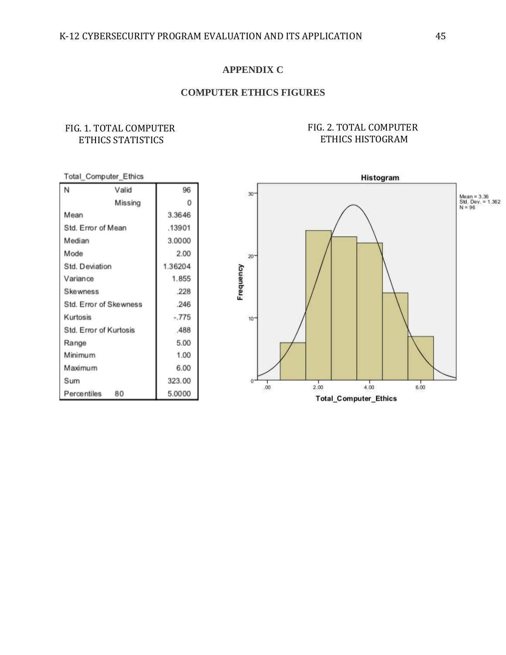### **APPENDIX C**

## **COMPUTER ETHICS FIGURES**

## FIG. 1. TOTAL COMPUTER ETHICS STATISTICS

### FIG. 2. TOTAL COMPUTER ETHICS HISTOGRAM

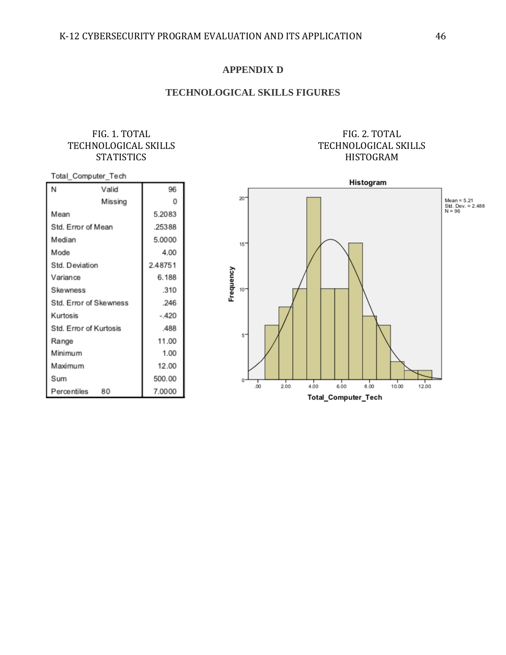### **APPENDIX D**

## **TECHNOLOGICAL SKILLS FIGURES**

### FIG. 1. TOTAL TECHNOLOGICAL SKILLS **STATISTICS**

## FIG. 2. TOTAL TECHNOLOGICAL SKILLS HISTOGRAM

#### Total\_Computer\_Tech

| N                      | Valid   | 96      |
|------------------------|---------|---------|
|                        | Missing | 0       |
| Mean                   |         | 5.2083  |
| Std. Error of Mean     |         | .25388  |
| Median                 |         | 5.0000  |
| Mode                   |         | 4.00    |
| Std. Deviation         |         | 2.48751 |
| Variance               |         | 6.188   |
| Skewness               | .310    |         |
| Std. Error of Skewness | .246    |         |
| Kurtosis               |         | $-.420$ |
| Std. Error of Kurtosis |         | .488    |
| Range                  |         | 11.00   |
| Minimum                |         | 1.00    |
| Maximum                |         | 12.00   |
| Sum                    |         | 500.00  |
| Percentiles            | 80      | 7.0000  |

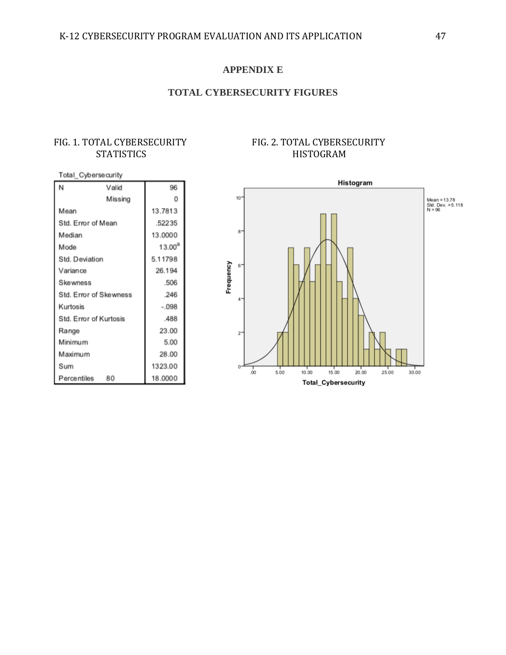### **APPENDIX E**

## **TOTAL CYBERSECURITY FIGURES**

## FIG. 1. TOTAL CYBERSECURITY **STATISTICS**

| Total_Cyberse curity   |         |             |  |  |  |  |
|------------------------|---------|-------------|--|--|--|--|
| N                      | Valid   | 96          |  |  |  |  |
|                        | Missing | O           |  |  |  |  |
| Mean                   |         | 13.7813     |  |  |  |  |
| Std. Error of Mean     |         | .52235      |  |  |  |  |
| Median                 |         | 13.0000     |  |  |  |  |
| Mode                   |         | $13.00^{a}$ |  |  |  |  |
| Std. Deviation         |         | 5.11798     |  |  |  |  |
| Variance               |         | 26.194      |  |  |  |  |
| Skewness               |         | .506        |  |  |  |  |
| Std. Error of Skewness |         | .246        |  |  |  |  |
| Kurtosis               |         | $-.098$     |  |  |  |  |
| Std. Error of Kurtosis |         | .488        |  |  |  |  |
| Range                  |         | 23.00       |  |  |  |  |
| Minimum                |         | 5.00        |  |  |  |  |
| Maximum                |         | 28.00       |  |  |  |  |
| Sum                    |         | 1323.00     |  |  |  |  |
| Percentiles            | 80      | 18.0000     |  |  |  |  |

## FIG. 2. TOTAL CYBERSECURITY HISTOGRAM

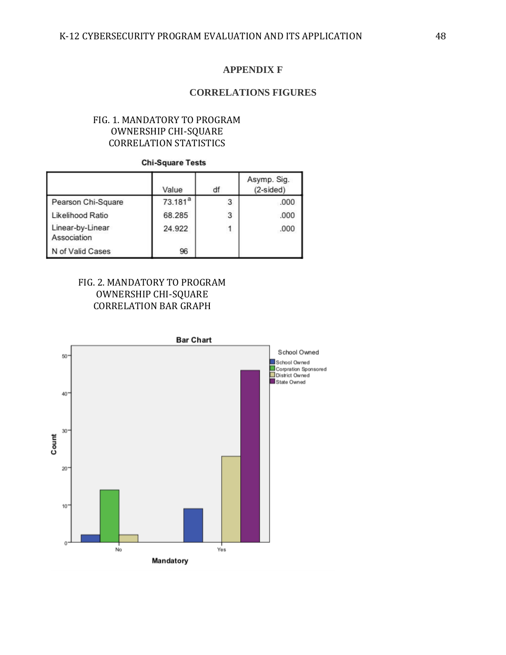### **APPENDIX F**

### **CORRELATIONS FIGURES**

## FIG. 1. MANDATORY TO PROGRAM OWNERSHIP CHI-SQUARE CORRELATION STATISTICS

### **Chi-Square Tests**

|                                 | Value      | df | Asymp. Sig.<br>$(2-sided)$ |
|---------------------------------|------------|----|----------------------------|
| Pearson Chi-Square              | $73.181^a$ | 3  | .000                       |
| Likelihood Ratio                | 68.285     | 3  | .000                       |
| Linear-by-Linear<br>Association | 24.922     |    | .000                       |
| N of Valid Cases                | 96         |    |                            |

## FIG. 2. MANDATORY TO PROGRAM OWNERSHIP CHI-SQUARE CORRELATION BAR GRAPH